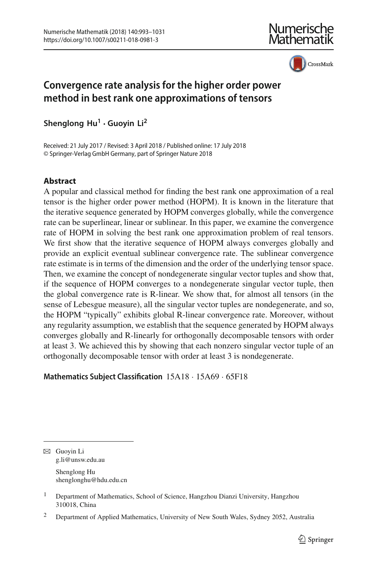

CrossMark

# **Convergence rate analysis for the higher order power method in best rank one approximations of tensors**

**Shenglong Hu1 · Guoyin Li2**

Received: 21 July 2017 / Revised: 3 April 2018 / Published online: 17 July 2018 © Springer-Verlag GmbH Germany, part of Springer Nature 2018

# **Abstract**

A popular and classical method for finding the best rank one approximation of a real tensor is the higher order power method (HOPM). It is known in the literature that the iterative sequence generated by HOPM converges globally, while the convergence rate can be superlinear, linear or sublinear. In this paper, we examine the convergence rate of HOPM in solving the best rank one approximation problem of real tensors. We first show that the iterative sequence of HOPM always converges globally and provide an explicit eventual sublinear convergence rate. The sublinear convergence rate estimate is in terms of the dimension and the order of the underlying tensor space. Then, we examine the concept of nondegenerate singular vector tuples and show that, if the sequence of HOPM converges to a nondegenerate singular vector tuple, then the global convergence rate is R-linear. We show that, for almost all tensors (in the sense of Lebesgue measure), all the singular vector tuples are nondegenerate, and so, the HOPM "typically" exhibits global R-linear convergence rate. Moreover, without any regularity assumption, we establish that the sequence generated by HOPM always converges globally and R-linearly for orthogonally decomposable tensors with order at least 3. We achieved this by showing that each nonzero singular vector tuple of an orthogonally decomposable tensor with order at least 3 is nondegenerate.

**Mathematics Subject Classification** 15A18 · 15A69 · 65F18

 $\boxtimes$  Guoyin Li g.li@unsw.edu.au Shenglong Hu shenglonghu@hdu.edu.cn

<sup>1</sup> Department of Mathematics, School of Science, Hangzhou Dianzi University, Hangzhou 310018, China

<sup>&</sup>lt;sup>2</sup> Department of Applied Mathematics, University of New South Wales, Sydney 2052, Australia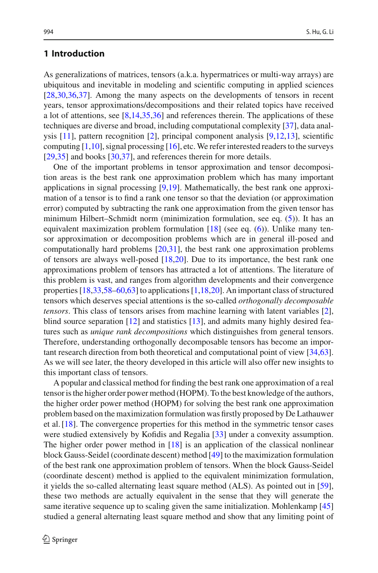# **1 Introduction**

As generalizations of matrices, tensors (a.k.a. hypermatrices or multi-way arrays) are ubiquitous and inevitable in modeling and scientific computing in applied sciences [\[28](#page-37-0)[,30](#page-37-1)[,36](#page-37-2)[,37](#page-37-3)]. Among the many aspects on the developments of tensors in recent years, tensor approximations/decompositions and their related topics have received a lot of attentions, see [\[8](#page-36-0)[,14](#page-37-4)[,35](#page-37-5)[,36](#page-37-2)] and references therein. The applications of these techniques are diverse and broad, including computational complexity [\[37\]](#page-37-3), data analysis [\[11\]](#page-37-6), pattern recognition [\[2](#page-36-1)], principal component analysis [\[9](#page-37-7)[,12](#page-37-8)[,13](#page-37-9)], scientific computing  $[1,10]$  $[1,10]$ , signal processing  $[16]$ , etc. We refer interested readers to the surveys [\[29](#page-37-12)[,35](#page-37-5)] and books [\[30](#page-37-1)[,37](#page-37-3)], and references therein for more details.

One of the important problems in tensor approximation and tensor decomposition areas is the best rank one approximation problem which has many important applications in signal processing [\[9](#page-37-7)[,19\]](#page-37-13). Mathematically, the best rank one approximation of a tensor is to find a rank one tensor so that the deviation (or approximation error) computed by subtracting the rank one approximation from the given tensor has minimum Hilbert–Schmidt norm (minimization formulation, see eq. [\(5\)](#page-6-0)). It has an equivalent maximization problem formulation  $[18]$  (see eq. [\(6\)](#page-6-1)). Unlike many tensor approximation or decomposition problems which are in general ill-posed and computationally hard problems  $[20,31]$  $[20,31]$  $[20,31]$ , the best rank one approximation problems of tensors are always well-posed  $[18,20]$  $[18,20]$  $[18,20]$ . Due to its importance, the best rank one approximations problem of tensors has attracted a lot of attentions. The literature of this problem is vast, and ranges from algorithm developments and their convergence properties [\[18](#page-37-14)[,33](#page-37-17)[,58](#page-38-0)[–60](#page-38-1)[,63\]](#page-38-2) to applications [\[1](#page-36-2)[,18](#page-37-14)[,20](#page-37-15)]. An important class of structured tensors which deserves special attentions is the so-called *orthogonally decomposable tensors*. This class of tensors arises from machine learning with latent variables [\[2](#page-36-1)], blind source separation [\[12\]](#page-37-8) and statistics [\[13](#page-37-9)], and admits many highly desired features such as *unique rank decompositions* which distinguishes from general tensors. Therefore, understanding orthogonally decomposable tensors has become an important research direction from both theoretical and computational point of view [\[34](#page-37-18)[,63](#page-38-2)]. As we will see later, the theory developed in this article will also offer new insights to this important class of tensors.

A popular and classical method for finding the best rank one approximation of a real tensor is the higher order power method (HOPM). To the best knowledge of the authors, the higher order power method (HOPM) for solving the best rank one approximation problem based on the maximization formulation was firstly proposed by De Lathauwer et al. [\[18\]](#page-37-14). The convergence properties for this method in the symmetric tensor cases were studied extensively by Kofidis and Regalia [\[33](#page-37-17)] under a convexity assumption. The higher order power method in [\[18\]](#page-37-14) is an application of the classical nonlinear block Gauss-Seidel (coordinate descent) method [\[49\]](#page-38-3) to the maximization formulation of the best rank one approximation problem of tensors. When the block Gauss-Seidel (coordinate descent) method is applied to the equivalent minimization formulation, it yields the so-called alternating least square method (ALS). As pointed out in [\[59](#page-38-4)], these two methods are actually equivalent in the sense that they will generate the same iterative sequence up to scaling given the same initialization. Mohlenkamp [\[45\]](#page-38-5) studied a general alternating least square method and show that any limiting point of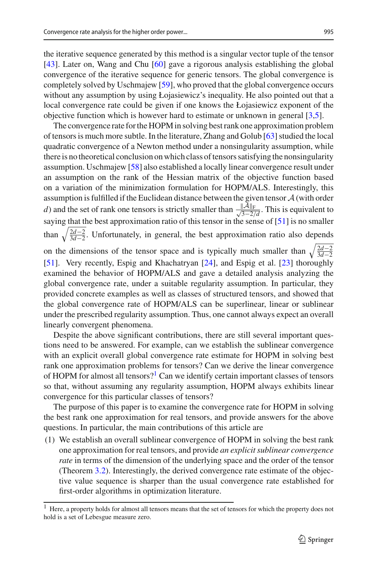the iterative sequence generated by this method is a singular vector tuple of the tensor [\[43](#page-38-6)]. Later on, Wang and Chu [\[60\]](#page-38-1) gave a rigorous analysis establishing the global convergence of the iterative sequence for generic tensors. The global convergence is completely solved by Uschmajew [\[59\]](#page-38-4), who proved that the global convergence occurs without any assumption by using Łojasiewicz's inequality. He also pointed out that a local convergence rate could be given if one knows the Łojasiewicz exponent of the objective function which is however hard to estimate or unknown in general [\[3](#page-36-3)[,5](#page-36-4)].

The convergence rate for the HOPM in solving best rank one approximation problem of tensors is much more subtle. In the literature, Zhang and Golub [\[63](#page-38-2)] studied the local quadratic convergence of a Newton method under a nonsingularity assumption, while there is no theoretical conclusion on which class of tensors satisfying the nonsingularity assumption. Uschmajew [\[58](#page-38-0)] also established a locally linear convergence result under an assumption on the rank of the Hessian matrix of the objective function based on a variation of the minimization formulation for HOPM/ALS. Interestingly, this assumption is fulfilled if the Euclidean distance between the given tensor *A* (with order *d*) and the set of rank one tensors is strictly smaller than  $\frac{\|A\|_F}{\sqrt{3-2/d}}$ . This is equivalent to saying that the best approximation ratio of this tensor in the sense of [\[51\]](#page-38-7) is no smaller than  $\sqrt{\frac{2d-2}{3d-2}}$ . Unfortunately, in general, the best approximation ratio also depends on the dimensions of the tensor space and is typically much smaller than  $\sqrt{\frac{2d-2}{3d-2}}$ [\[51](#page-38-7)]. Very recently, Espig and Khachatryan [\[24\]](#page-37-19), and Espig et al. [\[23\]](#page-37-20) thoroughly examined the behavior of HOPM/ALS and gave a detailed analysis analyzing the global convergence rate, under a suitable regularity assumption. In particular, they provided concrete examples as well as classes of structured tensors, and showed that

the global convergence rate of HOPM/ALS can be superlinear, linear or sublinear under the prescribed regularity assumption. Thus, one cannot always expect an overall linearly convergent phenomena.

Despite the above significant contributions, there are still several important questions need to be answered. For example, can we establish the sublinear convergence with an explicit overall global convergence rate estimate for HOPM in solving best rank one approximation problems for tensors? Can we derive the linear convergence of HOPM for almost all tensors?<sup>1</sup> Can we identify certain important classes of tensors so that, without assuming any regularity assumption, HOPM always exhibits linear convergence for this particular classes of tensors?

The purpose of this paper is to examine the convergence rate for HOPM in solving the best rank one approximation for real tensors, and provide answers for the above questions. In particular, the main contributions of this article are

(1) We establish an overall sublinear convergence of HOPM in solving the best rank one approximation for real tensors, and provide *an explicit sublinear convergence rate* in terms of the dimension of the underlying space and the order of the tensor (Theorem [3.2\)](#page-12-0). Interestingly, the derived convergence rate estimate of the objective value sequence is sharper than the usual convergence rate established for first-order algorithms in optimization literature.

<span id="page-2-0"></span><sup>1</sup> Here, a property holds for almost all tensors means that the set of tensors for which the property does not hold is a set of Lebesgue measure zero.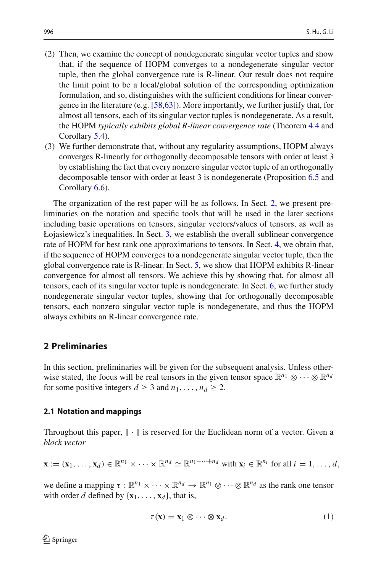- (2) Then, we examine the concept of nondegenerate singular vector tuples and show that, if the sequence of HOPM converges to a nondegenerate singular vector tuple, then the global convergence rate is R-linear. Our result does not require the limit point to be a local/global solution of the corresponding optimization formulation, and so, distinguishes with the sufficient conditions for linear convergence in the literature (e.g. [\[58](#page-38-0)[,63](#page-38-2)]). More importantly, we further justify that, for almost all tensors, each of its singular vector tuples is nondegenerate. As a result, the HOPM *typically exhibits global R-linear convergence rate* (Theorem [4.4](#page-18-0) and Corollary [5.4\)](#page-25-0).
- (3) We further demonstrate that, without any regularity assumptions, HOPM always converges R-linearly for orthogonally decomposable tensors with order at least 3 by establishing the fact that every nonzero singular vector tuple of an orthogonally decomposable tensor with order at least 3 is nondegenerate (Proposition [6.5](#page-35-0) and Corollary [6.6\)](#page-36-5).

The organization of the rest paper will be as follows. In Sect. [2,](#page-3-0) we present preliminaries on the notation and specific tools that will be used in the later sections including basic operations on tensors, singular vectors/values of tensors, as well as Łojasiewicz's inequalities. In Sect. [3,](#page-7-0) we establish the overall sublinear convergence rate of HOPM for best rank one approximations to tensors. In Sect. [4,](#page-16-0) we obtain that, if the sequence of HOPM converges to a nondegenerate singular vector tuple, then the global convergence rate is R-linear. In Sect. [5,](#page-20-0) we show that HOPM exhibits R-linear convergence for almost all tensors. We achieve this by showing that, for almost all tensors, each of its singular vector tuple is nondegenerate. In Sect. [6,](#page-25-1) we further study nondegenerate singular vector tuples, showing that for orthogonally decomposable tensors, each nonzero singular vector tuple is nondegenerate, and thus the HOPM always exhibits an R-linear convergence rate.

### <span id="page-3-0"></span>**2 Preliminaries**

In this section, preliminaries will be given for the subsequent analysis. Unless otherwise stated, the focus will be real tensors in the given tensor space  $\mathbb{R}^{n_1} \otimes \cdots \otimes \mathbb{R}^{n_d}$ for some positive integers  $d \geq 3$  and  $n_1, \ldots, n_d \geq 2$ .

#### **2.1 Notation and mappings**

Throughout this paper,  $\|\cdot\|$  is reserved for the Euclidean norm of a vector. Given a *block vector*

$$
\mathbf{x} := (\mathbf{x}_1, \dots, \mathbf{x}_d) \in \mathbb{R}^{n_1} \times \dots \times \mathbb{R}^{n_d} \simeq \mathbb{R}^{n_1 + \dots + n_d} \text{ with } \mathbf{x}_i \in \mathbb{R}^{n_i} \text{ for all } i = 1, \dots, d,
$$

we define a mapping  $\tau : \mathbb{R}^{n_1} \times \cdots \times \mathbb{R}^{n_d} \to \mathbb{R}^{n_1} \otimes \cdots \otimes \mathbb{R}^{n_d}$  as the rank one tensor with order *d* defined by  $\{x_1, \ldots, x_d\}$ , that is,

<span id="page-3-1"></span>
$$
\tau(\mathbf{x}) = \mathbf{x}_1 \otimes \cdots \otimes \mathbf{x}_d. \tag{1}
$$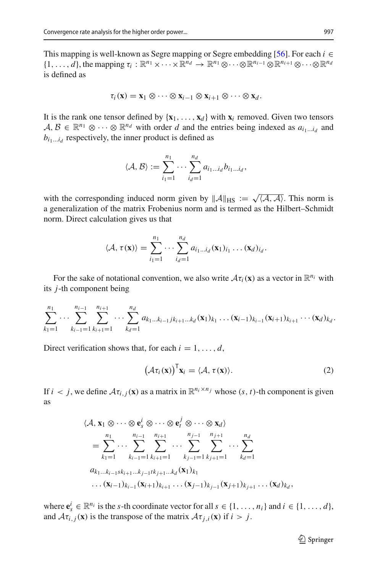This mapping is well-known as Segre mapping or Segre embedding [\[56\]](#page-38-8). For each  $i$  ∈  $\{1,\ldots,d\}$ , the mapping  $\tau_i : \mathbb{R}^{n_1} \times \cdots \times \mathbb{R}^{n_d} \to \mathbb{R}^{n_1} \otimes \cdots \otimes \mathbb{R}^{n_{i-1}} \otimes \mathbb{R}^{n_{i+1}} \otimes \cdots \otimes \mathbb{R}^{n_d}$ is defined as

$$
\tau_i(\mathbf{x}) = \mathbf{x}_1 \otimes \cdots \otimes \mathbf{x}_{i-1} \otimes \mathbf{x}_{i+1} \otimes \cdots \otimes \mathbf{x}_d.
$$

It is the rank one tensor defined by  $\{x_1, \ldots, x_d\}$  with  $x_i$  removed. Given two tensors  $A, B \in \mathbb{R}^{n_1} \otimes \cdots \otimes \mathbb{R}^{n_d}$  with order *d* and the entries being indexed as  $a_{i_1...i_d}$  and  $b_{i_1...i_d}$  respectively, the inner product is defined as

$$
\langle \mathcal{A}, \mathcal{B} \rangle := \sum_{i_1=1}^{n_1} \cdots \sum_{i_d=1}^{n_d} a_{i_1 \ldots i_d} b_{i_1 \ldots i_d},
$$

with the corresponding induced norm given by  $||A||_{\text{HS}} := \sqrt{\langle A, A \rangle}$ . This norm is a generalization of the matrix Frobenius norm and is termed as the Hilbert–Schmidt norm. Direct calculation gives us that

$$
\langle \mathcal{A}, \tau(\mathbf{x}) \rangle = \sum_{i_1=1}^{n_1} \cdots \sum_{i_d=1}^{n_d} a_{i_1 \ldots i_d}(\mathbf{x}_1)_{i_1} \ldots (\mathbf{x}_d)_{i_d}.
$$

For the sake of notational convention, we also write  $\mathcal{A}\tau_i(\mathbf{x})$  as a vector in  $\mathbb{R}^{n_i}$  with its *j*-th component being

$$
\sum_{k_1=1}^{n_1} \cdots \sum_{k_{i-1}=1}^{n_{i-1}} \sum_{k_{i+1}=1}^{n_{i+1}} \cdots \sum_{k_d=1}^{n_d} a_{k_1 \ldots k_{i-1} j k_{i+1} \ldots k_d} (\mathbf{x}_1)_{k_1} \ldots (\mathbf{x}_{i-1})_{k_{i-1}} (\mathbf{x}_{i+1})_{k_{i+1}} \cdots (\mathbf{x}_d)_{k_d}.
$$

Direct verification shows that, for each  $i = 1, \ldots, d$ ,

$$
\left(\mathcal{A}\tau_i(\mathbf{x})\right)^{\mathsf{T}}\mathbf{x}_i=\langle\mathcal{A},\,\tau(\mathbf{x})\rangle.
$$
 (2)

If  $i < j$ , we define  $\mathcal{A}\tau_{i,j}(\mathbf{x})$  as a matrix in  $\mathbb{R}^{n_i \times n_j}$  whose  $(s, t)$ -th component is given as

$$
\langle A, \mathbf{x}_1 \otimes \cdots \otimes \mathbf{e}_s^i \otimes \cdots \otimes \mathbf{e}_t^j \otimes \cdots \otimes \mathbf{x}_d \rangle
$$
  
=  $\sum_{k_1=1}^{n_1} \cdots \sum_{k_{i-1}=1}^{n_{i-1}} \sum_{k_{i+1}=1}^{n_{i+1}} \cdots \sum_{k_{j-1}=1}^{n_{j-1}} \sum_{k_{j+1}=1}^{n_{j+1}} \cdots \sum_{k_{d}=1}^{n_d}$   
 $a_{k_1...k_{i-1}sk_{i+1}...k_{j-1}tk_{j+1}...k_d}(\mathbf{x}_1)_{k_1}$   
 $\ldots (\mathbf{x}_{i-1})_{k_{i-1}}(\mathbf{x}_{i+1})_{k_{i+1}} \cdots (\mathbf{x}_{j-1})_{k_{j-1}}(\mathbf{x}_{j+1})_{k_{j+1}} \cdots (\mathbf{x}_d)_{k_d},$ 

where  $\mathbf{e}_s^i \in \mathbb{R}^{n_i}$  is the *s*-th coordinate vector for all  $s \in \{1, \ldots, n_i\}$  and  $i \in \{1, \ldots, d\}$ , and  $A\tau_{i,j}(\mathbf{x})$  is the transpose of the matrix  $A\tau_{i,j}(\mathbf{x})$  if  $i > j$ .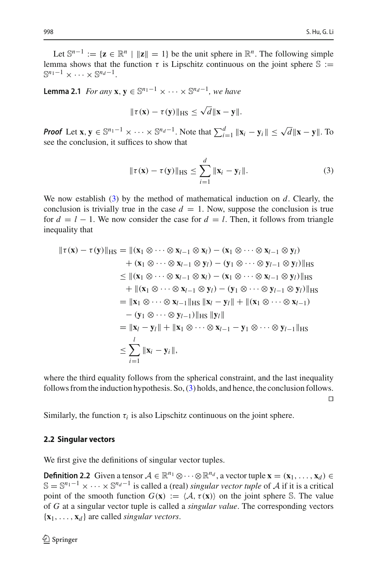Let  $\mathbb{S}^{n-1} := \{ \mathbf{z} \in \mathbb{R}^n \mid ||\mathbf{z}|| = 1 \}$  be the unit sphere in  $\mathbb{R}^n$ . The following simple lemma shows that the function  $\tau$  is Lipschitz continuous on the joint sphere  $\mathbb{S}$  :=  $\mathbb{S}^{n_1-1} \times \cdots \times \mathbb{S}^{n_d-1}$ .

<span id="page-5-1"></span>**Lemma 2.1** *For any* **x**,  $\mathbf{v} \in \mathbb{S}^{n_1-1} \times \cdots \times \mathbb{S}^{n_d-1}$ *, we have* 

$$
\|\tau(x)-\tau(y)\|_{HS}\leq \sqrt{d}\|x-y\|.
$$

*Proof* Let  $\mathbf{x}, \mathbf{y} \in \mathbb{S}^{n_1 - 1} \times \cdots \times \mathbb{S}^{n_d - 1}$ . Note that  $\sum_{i=1}^d ||\mathbf{x}_i - \mathbf{y}_i|| \le \sqrt{d} ||\mathbf{x} - \mathbf{y}||$ . To see the conclusion, it suffices to show that

<span id="page-5-0"></span>
$$
\|\tau(\mathbf{x}) - \tau(\mathbf{y})\|_{\text{HS}} \le \sum_{i=1}^d \|\mathbf{x}_i - \mathbf{y}_i\|.
$$
 (3)

We now establish [\(3\)](#page-5-0) by the method of mathematical induction on *d*. Clearly, the conclusion is trivially true in the case  $d = 1$ . Now, suppose the conclusion is true for  $d = l - 1$ . We now consider the case for  $d = l$ . Then, it follows from triangle inequality that

$$
\|\tau(\mathbf{x}) - \tau(\mathbf{y})\|_{\text{HS}} = \|(\mathbf{x}_1 \otimes \cdots \otimes \mathbf{x}_{l-1} \otimes \mathbf{x}_l) - (\mathbf{x}_1 \otimes \cdots \otimes \mathbf{x}_{l-1} \otimes \mathbf{y}_l) + (\mathbf{x}_1 \otimes \cdots \otimes \mathbf{x}_{l-1} \otimes \mathbf{y}_l) - (\mathbf{y}_1 \otimes \cdots \otimes \mathbf{y}_{l-1} \otimes \mathbf{y}_l)\|_{\text{HS}} \leq \|(\mathbf{x}_1 \otimes \cdots \otimes \mathbf{x}_{l-1} \otimes \mathbf{x}_l) - (\mathbf{x}_1 \otimes \cdots \otimes \mathbf{x}_{l-1} \otimes \mathbf{y}_l)\|_{\text{HS}} + \|(\mathbf{x}_1 \otimes \cdots \otimes \mathbf{x}_{l-1} \otimes \mathbf{y}_l) - (\mathbf{y}_1 \otimes \cdots \otimes \mathbf{y}_{l-1} \otimes \mathbf{y}_l)\|_{\text{HS}} = \|\mathbf{x}_1 \otimes \cdots \otimes \mathbf{x}_{l-1}\|_{\text{HS}} \|\mathbf{x}_l - \mathbf{y}_l\| + \|(\mathbf{x}_1 \otimes \cdots \otimes \mathbf{x}_{l-1}) - (\mathbf{y}_1 \otimes \cdots \otimes \mathbf{y}_{l-1})\|_{\text{HS}} \|\mathbf{y}_l\| = \|\mathbf{x}_l - \mathbf{y}_l\| + \|\mathbf{x}_1 \otimes \cdots \otimes \mathbf{x}_{l-1} - \mathbf{y}_1 \otimes \cdots \otimes \mathbf{y}_{l-1}\|_{\text{HS}} \leq \sum_{i=1}^l \|\mathbf{x}_i - \mathbf{y}_i\|,
$$

where the third equality follows from the spherical constraint, and the last inequality follows from the induction hypothesis. So, [\(3\)](#page-5-0) holds, and hence, the conclusion follows.

 $\Box$ 

Similarly, the function  $\tau_i$  is also Lipschitz continuous on the joint sphere.

#### **2.2 Singular vectors**

We first give the definitions of singular vector tuples.

**Definition 2.2** Given a tensor  $A \in \mathbb{R}^{n_1} \otimes \cdots \otimes \mathbb{R}^{n_d}$ , a vector tuple  $\mathbf{x} = (\mathbf{x}_1, \dots, \mathbf{x}_d) \in$  $\mathbb{S} = \mathbb{S}^{n_1-1} \times \cdots \times \mathbb{S}^{n_d-1}$  is called a (real) *singular vector tuple* of *A* if it is a critical point of the smooth function  $G(\mathbf{x}) := \langle A, \tau(\mathbf{x}) \rangle$  on the joint sphere S. The value of *G* at a singular vector tuple is called a *singular value*. The corresponding vectors  $\{x_1, \ldots, x_d\}$  are called *singular vectors*.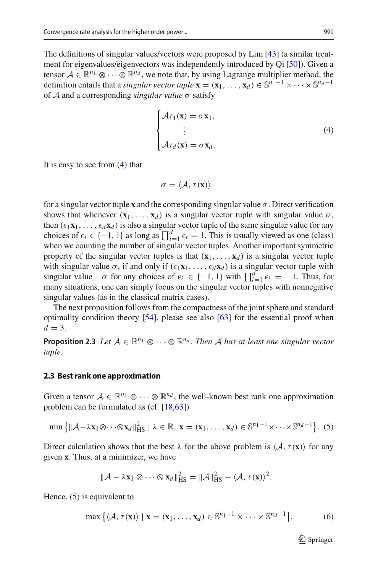The definitions of singular values/vectors were proposed by Lim [\[43](#page-38-6)] (a similar treatment for eigenvalues/eigenvectors was independently introduced by Qi [\[50](#page-38-9)]). Given a tensor  $A \in \mathbb{R}^{n_1} \otimes \cdots \otimes \mathbb{R}^{n_d}$ , we note that, by using Lagrange multiplier method, the definition entails that a *singular vector tuple*  $\mathbf{x} = (\mathbf{x}_1, \dots, \mathbf{x}_d) \in \mathbb{S}^{n_1 - 1} \times \dots \times \mathbb{S}^{n_d - 1}$ of *A* and a corresponding *singular value* σ satisfy

<span id="page-6-2"></span>
$$
\begin{cases}\n\mathcal{A}\tau_1(\mathbf{x}) = \sigma \mathbf{x}_1, \\
\vdots \\
\mathcal{A}\tau_d(\mathbf{x}) = \sigma \mathbf{x}_d.\n\end{cases} (4)
$$

It is easy to see from [\(4\)](#page-6-2) that

$$
\sigma = \langle \mathcal{A}, \tau(\mathbf{x}) \rangle
$$

for a singular vector tuple **x** and the corresponding singular value  $\sigma$ . Direct verification shows that whenever  $(\mathbf{x}_1, \dots, \mathbf{x}_d)$  is a singular vector tuple with singular value  $\sigma$ , then  $(\epsilon_1 \mathbf{x}_1, \ldots, \epsilon_d \mathbf{x}_d)$  is also a singular vector tuple of the same singular value for any choices of  $\epsilon_i \in \{-1, 1\}$  as long as  $\prod_{i=1}^d \epsilon_i = 1$ . This is usually viewed as one (class) when we counting the number of singular vector tuples. Another important symmetric property of the singular vector tuples is that  $(\mathbf{x}_1, \ldots, \mathbf{x}_d)$  is a singular vector tuple with singular value  $\sigma$ , if and only if  $(\epsilon_1 \mathbf{x}_1, \ldots, \epsilon_d \mathbf{x}_d)$  is a singular vector tuple with singular value  $-\sigma$  for any choices of  $\epsilon_i \in \{-1, 1\}$  with  $\prod_{i=1}^d \epsilon_i = -1$ . Thus, for many situations, one can simply focus on the singular vector tuples with nonnegative singular values (as in the classical matrix cases).

The next proposition follows from the compactness of the joint sphere and standard optimality condition theory [\[54\]](#page-38-10), please see also [\[63\]](#page-38-2) for the essential proof when  $d = 3$ .

<span id="page-6-3"></span>**Proposition 2.3** *Let*  $A \in \mathbb{R}^{n_1} \otimes \cdots \otimes \mathbb{R}^{n_d}$ . Then A has at least one singular vector *tuple.*

#### <span id="page-6-4"></span>**2.3 Best rank one approximation**

Given a tensor  $A \in \mathbb{R}^{n_1} \otimes \cdots \otimes \mathbb{R}^{n_d}$ , the well-known best rank one approximation problem can be formulated as (cf. [\[18](#page-37-14)[,63](#page-38-2)])

<span id="page-6-0"></span>
$$
\min\left\{\|\mathcal{A}-\lambda\mathbf{x}_1\otimes\cdots\otimes\mathbf{x}_d\|_{\text{HS}}^2\mid\lambda\in\mathbb{R},\,\mathbf{x}=(\mathbf{x}_1,\ldots,\mathbf{x}_d)\in\mathbb{S}^{n_1-1}\times\cdots\times\mathbb{S}^{n_d-1}\right\}.\,\,(5)
$$

Direct calculation shows that the best  $\lambda$  for the above problem is  $\langle A, \tau(\mathbf{x}) \rangle$  for any given **x**. Thus, at a minimizer, we have

$$
\|\mathcal{A} - \lambda \mathbf{x}_1 \otimes \cdots \otimes \mathbf{x}_d\|_{\text{HS}}^2 = \|\mathcal{A}\|_{\text{HS}}^2 - \langle \mathcal{A}, \tau(\mathbf{x}) \rangle^2.
$$

Hence,  $(5)$  is equivalent to

<span id="page-6-1"></span>
$$
\max\left\{ \langle \mathcal{A}, \tau(\mathbf{x}) \rangle \mid \mathbf{x} = (\mathbf{x}_1, \dots, \mathbf{x}_d) \in \mathbb{S}^{n_1 - 1} \times \dots \times \mathbb{S}^{n_d - 1} \right\}.
$$
 (6)

 $\mathcal{L}$  Springer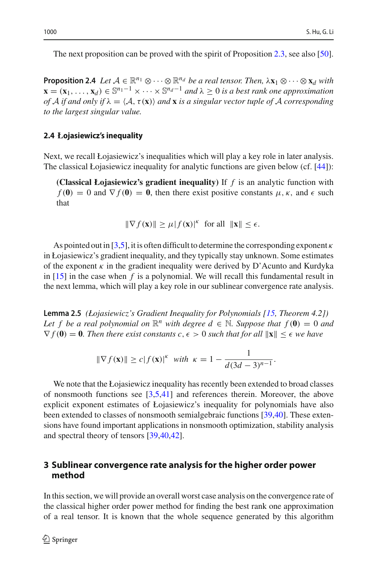The next proposition can be proved with the spirit of Proposition [2.3,](#page-6-3) see also [\[50](#page-38-9)].

**Proposition 2.4** *Let*  $A \in \mathbb{R}^{n_1} \otimes \cdots \otimes \mathbb{R}^{n_d}$  *be a real tensor. Then,*  $\lambda x_1 \otimes \cdots \otimes x_d$  *with*  $\mathbf{x}$  = (**x**<sub>1</sub>, ..., **x**<sub>*d*</sub>) ∈  $\mathbb{S}^{n_1-1}$  × ··· ×  $\mathbb{S}^{n_d-1}$  *and*  $\lambda$  ≥ 0 *is a best rank one approximation of A if and only if* λ = *A*,τ(**x**) *and* **x** *is a singular vector tuple of A corresponding to the largest singular value.*

#### **2.4 Łojasiewicz's inequality**

Next, we recall Łojasiewicz's inequalities which will play a key role in later analysis. The classical Łojasiewicz inequality for analytic functions are given below (cf. [\[44\]](#page-38-11)):

**(Classical Łojasiewicz's gradient inequality)** If *f* is an analytic function with  $f(\mathbf{0}) = 0$  and  $\nabla f(\mathbf{0}) = \mathbf{0}$ , then there exist positive constants  $\mu, \kappa$ , and  $\epsilon$  such that

$$
\|\nabla f(\mathbf{x})\| \ge \mu |f(\mathbf{x})|^{\kappa} \text{ for all } \|\mathbf{x}\| \le \epsilon.
$$

As pointed out in [\[3](#page-36-3)[,5](#page-36-4)], it is often difficult to determine the corresponding exponent  $\kappa$ in Łojasiewicz's gradient inequality, and they typically stay unknown. Some estimates of the exponent  $\kappa$  in the gradient inequality were derived by D'Acunto and Kurdyka in [\[15](#page-37-21)] in the case when *f* is a polynomial. We will recall this fundamental result in the next lemma, which will play a key role in our sublinear convergence rate analysis.

<span id="page-7-1"></span>**Lemma 2.5** *(Łojasiewicz's Gradient Inequality for Polynomials [\[15,](#page-37-21) Theorem 4.2]) Let f be a real polynomial on*  $\mathbb{R}^n$  *with degree*  $d \in \mathbb{N}$ *. Suppose that f* (0) = 0 *and*  $\nabla f(\mathbf{0}) = \mathbf{0}$ . Then there exist constants  $c, \epsilon > 0$  such that for all  $\|\mathbf{x}\| \leq \epsilon$  we have

$$
\|\nabla f(\mathbf{x})\| \ge c|f(\mathbf{x})|^{\kappa} \text{ with } \kappa = 1 - \frac{1}{d(3d-3)^{n-1}}.
$$

We note that the Łojasiewicz inequality has recently been extended to broad classes of nonsmooth functions see [\[3](#page-36-3)[,5](#page-36-4)[,41\]](#page-38-12) and references therein. Moreover, the above explicit exponent estimates of Łojasiewicz's inequality for polynomials have also been extended to classes of nonsmooth semialgebraic functions [\[39](#page-37-22)[,40](#page-38-13)]. These extensions have found important applications in nonsmooth optimization, stability analysis and spectral theory of tensors [\[39](#page-37-22)[,40](#page-38-13)[,42\]](#page-38-14).

### <span id="page-7-0"></span>**3 Sublinear convergence rate analysis for the higher order power method**

In this section, we will provide an overall worst case analysis on the convergence rate of the classical higher order power method for finding the best rank one approximation of a real tensor. It is known that the whole sequence generated by this algorithm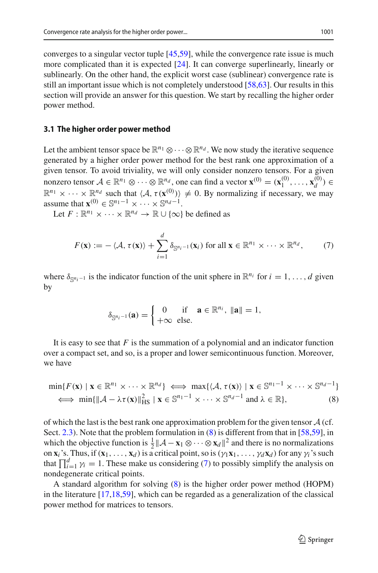converges to a singular vector tuple [\[45](#page-38-5)[,59\]](#page-38-4), while the convergence rate issue is much more complicated than it is expected [\[24\]](#page-37-19). It can converge superlinearly, linearly or sublinearly. On the other hand, the explicit worst case (sublinear) convergence rate is still an important issue which is not completely understood [\[58](#page-38-0)[,63](#page-38-2)]. Our results in this section will provide an answer for this question. We start by recalling the higher order power method.

#### **3.1 The higher order power method**

Let the ambient tensor space be  $\mathbb{R}^{n_1} \otimes \cdots \otimes \mathbb{R}^{n_d}$ . We now study the iterative sequence generated by a higher order power method for the best rank one approximation of a given tensor. To avoid triviality, we will only consider nonzero tensors. For a given nonzero tensor  $A \in \mathbb{R}^{n_1} \otimes \cdots \otimes \mathbb{R}^{n_d}$ , one can find a vector  $\mathbf{x}^{(0)} = (\mathbf{x}_1^{(0)}, \dots, \mathbf{x}_d^{(0)}) \in \mathbb{R}^{n_d}$  $\mathbb{R}^{n_1} \times \cdots \times \mathbb{R}^{n_d}$  such that  $\langle A, \tau(\mathbf{x}^{(0)}) \rangle \neq 0$ . By normalizing if necessary, we may assume that  $\mathbf{x}^{(0)} \in \mathbb{S}^{n_1-1} \times \cdots \times \mathbb{S}^{n_d-1}$ .

Let  $F: \mathbb{R}^{n_1} \times \cdots \times \mathbb{R}^{n_d} \to \mathbb{R} \cup \{\infty\}$  be defined as

<span id="page-8-1"></span>
$$
F(\mathbf{x}) := -\langle \mathcal{A}, \tau(\mathbf{x}) \rangle + \sum_{i=1}^d \delta_{\mathbb{S}^{n_i-1}}(\mathbf{x}_i) \text{ for all } \mathbf{x} \in \mathbb{R}^{n_1} \times \cdots \times \mathbb{R}^{n_d}, \qquad (7)
$$

where  $\delta_{\mathbb{S}^{n_i-1}}$  is the indicator function of the unit sphere in  $\mathbb{R}^{n_i}$  for  $i = 1, \ldots, d$  given by

$$
\delta_{\mathbb{S}^{n_i-1}}(\mathbf{a}) = \begin{cases} 0 & \text{if } \mathbf{a} \in \mathbb{R}^{n_i}, \ \|\mathbf{a}\| = 1, \\ +\infty & \text{else.} \end{cases}
$$

It is easy to see that *F* is the summation of a polynomial and an indicator function over a compact set, and so, is a proper and lower semicontinuous function. Moreover, we have

<span id="page-8-0"></span>
$$
\min\{F(\mathbf{x}) \mid \mathbf{x} \in \mathbb{R}^{n_1} \times \dots \times \mathbb{R}^{n_d}\} \iff \max\{\langle \mathcal{A}, \tau(\mathbf{x}) \rangle \mid \mathbf{x} \in \mathbb{S}^{n_1 - 1} \times \dots \times \mathbb{S}^{n_d - 1}\}\
$$
  

$$
\iff \min\{\|\mathcal{A} - \lambda \tau(\mathbf{x})\|_{\text{HS}}^2 \mid \mathbf{x} \in \mathbb{S}^{n_1 - 1} \times \dots \times \mathbb{S}^{n_d - 1} \text{ and } \lambda \in \mathbb{R}\},\tag{8}
$$

of which the last is the best rank one approximation problem for the given tensor *A* (cf. Sect. [2.3\)](#page-6-4). Note that the problem formulation in [\(8\)](#page-8-0) is different from that in [\[58](#page-38-0)[,59](#page-38-4)], in which the objective function is  $\frac{1}{2} || \mathcal{A} - \mathbf{x}_1 \otimes \cdots \otimes \mathbf{x}_d ||^2$  and there is no normalizations on **x**<sub>*i*</sub> 's. Thus, if  $(\mathbf{x}_1, \ldots, \mathbf{x}_d)$  is a critical point, so is  $(\gamma_1 \mathbf{x}_1, \ldots, \gamma_d \mathbf{x}_d)$  for any  $\gamma_i$ 's such that  $\prod_{i=1}^{d} \gamma_i = 1$ . These make us considering [\(7\)](#page-8-1) to possibly simplify the analysis on nondegenerate critical points.

<span id="page-8-2"></span>A standard algorithm for solving [\(8\)](#page-8-0) is the higher order power method (HOPM) in the literature [\[17](#page-37-23)[,18](#page-37-14)[,59](#page-38-4)], which can be regarded as a generalization of the classical power method for matrices to tensors.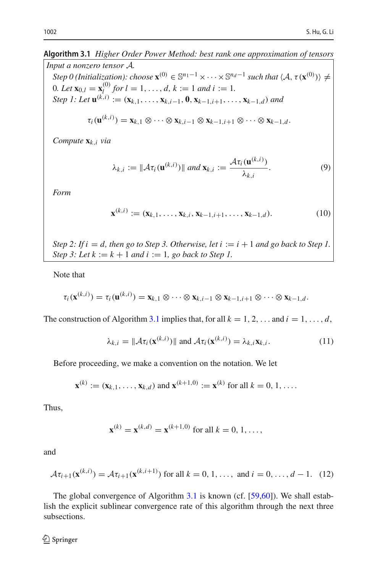#### **Algorithm 3.1** *Higher Order Power Method: best rank one approximation of tensors*

*Input a nonzero tensor A.*  $Step 0$  (Initialization): choose  $\mathbf{x}^{(0)} \in \mathbb{S}^{n_1-1} \times \cdots \times \mathbb{S}^{n_d-1}$  such that  $\langle A, \tau(\mathbf{x}^{(0)}) \rangle \neq 0$ 0*. Let*  $\mathbf{x}_{0,l} = \mathbf{x}_l^{(0)}$  *for*  $l = 1, ..., d$ ,  $k := 1$  *and*  $i := 1$ *. Step 1: Let*  $\mathbf{u}^{(k,i)} := (\mathbf{x}_{k,1}, \ldots, \mathbf{x}_{k,i-1}, \mathbf{0}, \mathbf{x}_{k-1,i+1}, \ldots, \mathbf{x}_{k-1,d})$  and  $\tau_i(\mathbf{u}^{(k,i)}) = \mathbf{x}_{k,1} \otimes \cdots \otimes \mathbf{x}_{k,i-1} \otimes \mathbf{x}_{k-1,i+1} \otimes \cdots \otimes \mathbf{x}_{k-1,d}.$ 

*Compute* **x***k*,*<sup>i</sup> via*

<span id="page-9-1"></span>
$$
\lambda_{k,i} := \|\mathcal{A}\tau_i(\mathbf{u}^{(k,i)})\| \text{ and } \mathbf{x}_{k,i} := \frac{\mathcal{A}\tau_i(\mathbf{u}^{(k,i)})}{\lambda_{k,i}}.
$$
 (9)

*Form*

$$
\mathbf{x}^{(k,i)} := (\mathbf{x}_{k,1}, \dots, \mathbf{x}_{k,i}, \mathbf{x}_{k-1,i+1}, \dots, \mathbf{x}_{k-1,d}).
$$
 (10)

*Step 2: If i* = *d, then go to Step 3. Otherwise, let i* :=  $i + 1$  *and go back to Step 1. Step 3: Let*  $k := k + 1$  *and*  $i := 1$ *, go back to Step 1.* 

Note that

$$
\tau_i(\mathbf{x}^{(k,i)}) = \tau_i(\mathbf{u}^{(k,i)}) = \mathbf{x}_{k,1} \otimes \cdots \otimes \mathbf{x}_{k,i-1} \otimes \mathbf{x}_{k-1,i+1} \otimes \cdots \otimes \mathbf{x}_{k-1,d}.
$$

The construction of Algorithm [3.1](#page-8-2) implies that, for all  $k = 1, 2, \ldots$  and  $i = 1, \ldots, d$ ,

<span id="page-9-0"></span>
$$
\lambda_{k,i} = \|\mathcal{A}\tau_i(\mathbf{x}^{(k,i)})\| \text{ and } \mathcal{A}\tau_i(\mathbf{x}^{(k,i)}) = \lambda_{k,i}\mathbf{x}_{k,i}.
$$
 (11)

Before proceeding, we make a convention on the notation. We let

$$
\mathbf{x}^{(k)} := (\mathbf{x}_{k,1}, \dots, \mathbf{x}_{k,d})
$$
 and  $\mathbf{x}^{(k+1,0)} := \mathbf{x}^{(k)}$  for all  $k = 0, 1, \dots$ 

Thus,

$$
\mathbf{x}^{(k)} = \mathbf{x}^{(k,d)} = \mathbf{x}^{(k+1,0)}
$$
 for all  $k = 0, 1, ...,$ 

and

$$
\mathcal{A}\tau_{i+1}(\mathbf{x}^{(k,i)}) = \mathcal{A}\tau_{i+1}(\mathbf{x}^{(k,i+1)}) \text{ for all } k = 0, 1, ..., \text{ and } i = 0, ..., d-1.
$$
 (12)

The global convergence of Algorithm [3.1](#page-8-2) is known (cf. [\[59](#page-38-4)[,60](#page-38-1)]). We shall establish the explicit sublinear convergence rate of this algorithm through the next three subsections.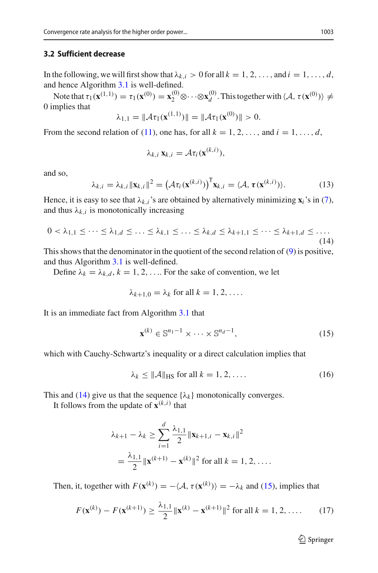#### **3.2 Sufficient decrease**

In the following, we will first show that  $\lambda_{k,i} > 0$  for all  $k = 1, 2, \ldots$ , and  $i = 1, \ldots, d$ , and hence Algorithm [3.1](#page-8-2) is well-defined.

Note that  $\tau_1(\mathbf{x}^{(1,1)}) = \tau_1(\mathbf{x}^{(0)}) = \mathbf{x}_2^{(0)} \otimes \cdots \otimes \mathbf{x}_d^{(0)}$ . This together with  $\langle \mathcal{A}, \tau(\mathbf{x}^{(0)}) \rangle \neq 0$ . 0 implies that

$$
\lambda_{1,1} = \|\mathcal{A}\tau_1(\mathbf{x}^{(1,1)})\| = \|\mathcal{A}\tau_1(\mathbf{x}^{(0)})\| > 0.
$$

From the second relation of [\(11\)](#page-9-0), one has, for all  $k = 1, 2, \ldots$ , and  $i = 1, \ldots, d$ ,

$$
\lambda_{k,i} \mathbf{x}_{k,i} = \mathcal{A} \tau_i(\mathbf{x}^{(k,i)}),
$$

and so,

$$
\lambda_{k,i} = \lambda_{k,i} \|\mathbf{x}_{k,i}\|^2 = \left(\mathcal{A}\tau_i(\mathbf{x}^{(k,i)})\right)^{\mathsf{T}} \mathbf{x}_{k,i} = \langle \mathcal{A}, \tau(\mathbf{x}^{(k,i)}) \rangle. \tag{13}
$$

Hence, it is easy to see that  $\lambda_{k,i}$ 's are obtained by alternatively minimizing  $\mathbf{x}_i$ 's in [\(7\)](#page-8-1), and thus  $\lambda_k$  *i* is monotonically increasing

<span id="page-10-0"></span>
$$
0 < \lambda_{1,1} \leq \cdots \leq \lambda_{1,d} \leq \ldots \leq \lambda_{k,1} \leq \ldots \leq \lambda_{k,d} \leq \lambda_{k+1,1} \leq \cdots \leq \lambda_{k+1,d} \leq \ldots \tag{14}
$$

This shows that the denominator in the quotient of the second relation of [\(9\)](#page-9-1) is positive, and thus Algorithm [3.1](#page-8-2) is well-defined.

Define  $\lambda_k = \lambda_{k,d}$ ,  $k = 1, 2, \ldots$  For the sake of convention, we let

$$
\lambda_{k+1,0} = \lambda_k \text{ for all } k = 1, 2, \ldots.
$$

It is an immediate fact from Algorithm [3.1](#page-8-2) that

<span id="page-10-1"></span>
$$
\mathbf{x}^{(k)} \in \mathbb{S}^{n_1 - 1} \times \dots \times \mathbb{S}^{n_d - 1},\tag{15}
$$

which with Cauchy-Schwartz's inequality or a direct calculation implies that

<span id="page-10-2"></span>
$$
\lambda_k \le ||\mathcal{A}||_{\text{HS}} \text{ for all } k = 1, 2, \dots \tag{16}
$$

This and [\(14\)](#page-10-0) give us that the sequence  $\{\lambda_k\}$  monotonically converges.

It follows from the update of  $\mathbf{x}^{(k,i)}$  that

$$
\lambda_{k+1} - \lambda_k \ge \sum_{i=1}^d \frac{\lambda_{1,1}}{2} \|\mathbf{x}_{k+1,i} - \mathbf{x}_{k,i}\|^2
$$
  
=  $\frac{\lambda_{1,1}}{2} \|\mathbf{x}^{(k+1)} - \mathbf{x}^{(k)}\|^2$  for all  $k = 1, 2, ...$ 

Then, it, together with  $F(\mathbf{x}^{(k)}) = -\langle A, \tau(\mathbf{x}^{(k)}) \rangle = -\lambda_k$  and [\(15\)](#page-10-1), implies that

<span id="page-10-3"></span>
$$
F(\mathbf{x}^{(k)}) - F(\mathbf{x}^{(k+1)}) \ge \frac{\lambda_{1,1}}{2} \|\mathbf{x}^{(k)} - \mathbf{x}^{(k+1)}\|^2 \text{ for all } k = 1, 2, .... \qquad (17)
$$

 $\mathcal{D}$  Springer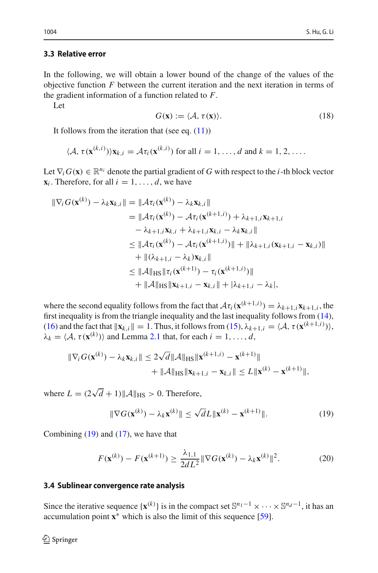#### **3.3 Relative error**

In the following, we will obtain a lower bound of the change of the values of the objective function *F* between the current iteration and the next iteration in terms of the gradient information of a function related to *F*.

Let

<span id="page-11-2"></span>
$$
G(\mathbf{x}) := \langle \mathcal{A}, \tau(\mathbf{x}) \rangle. \tag{18}
$$

It follows from the iteration that (see eq.  $(11)$ )

$$
\langle A, \tau(\mathbf{x}^{(k,i)}))\mathbf{x}_{k,i} = A\tau_i(\mathbf{x}^{(k,i)})
$$
 for all  $i = 1, ..., d$  and  $k = 1, 2, ...$ 

Let  $\nabla_i G(\mathbf{x}) \in \mathbb{R}^{n_i}$  denote the partial gradient of *G* with respect to the *i*-th block vector  $\mathbf{x}_i$ . Therefore, for all  $i = 1, \ldots, d$ , we have

$$
\begin{aligned} \|\nabla_i G(\mathbf{x}^{(k)}) - \lambda_k \mathbf{x}_{k,i}\| &= \|\mathcal{A}\tau_i(\mathbf{x}^{(k)}) - \lambda_k \mathbf{x}_{k,i}\| \\ &= \|\mathcal{A}\tau_i(\mathbf{x}^{(k)}) - \mathcal{A}\tau_i(\mathbf{x}^{(k+1,i)}) + \lambda_{k+1,i}\mathbf{x}_{k+1,i} \\ &- \lambda_{k+1,i}\mathbf{x}_{k,i} + \lambda_{k+1,i}\mathbf{x}_{k,i} - \lambda_k \mathbf{x}_{k,i}\| \\ &\le \|\mathcal{A}\tau_i(\mathbf{x}^{(k)}) - \mathcal{A}\tau_i(\mathbf{x}^{(k+1,i)})\| + \|\lambda_{k+1,i}(\mathbf{x}_{k+1,i} - \mathbf{x}_{k,i})\| \\ &+ \|(\lambda_{k+1,i} - \lambda_k)\mathbf{x}_{k,i}\| \\ &\le \|\mathcal{A}\|_{\text{HS}} \|\tau_i(\mathbf{x}^{(k+1)}) - \tau_i(\mathbf{x}^{(k+1,i)})\| \\ &+ \|\mathcal{A}\|_{\text{HS}} \|\mathbf{x}_{k+1,i} - \mathbf{x}_{k,i}\| + |\lambda_{k+1,i} - \lambda_k|, \end{aligned}
$$

where the second equality follows from the fact that  $\mathcal{A}\tau_i(\mathbf{x}^{(k+1,i)}) = \lambda_{k+1,i}\mathbf{x}_{k+1,i}$ , the first inequality is from the triangle inequality and the last inequality follows from [\(14\)](#page-10-0),  $(16)$  and the fact that  $\|\mathbf{x}_{k,i}\| = 1$ . Thus, it follows from  $(15)$ ,  $\lambda_{k+1,i} = \langle A, \tau(\mathbf{x}^{(k+1,i)}) \rangle$ ,  $\lambda_k = \langle A, \tau(\mathbf{x}^{(k)}) \rangle$  and Lemma [2.1](#page-5-1) that, for each  $i = 1, ..., d$ ,

$$
\|\nabla_i G(\mathbf{x}^{(k)}) - \lambda_k \mathbf{x}_{k,i}\| \le 2\sqrt{d} \|\mathcal{A}\|_{\text{HS}} \|\mathbf{x}^{(k+1,i)} - \mathbf{x}^{(k+1)}\| + \|\mathcal{A}\|_{\text{HS}} \|\mathbf{x}_{k+1,i} - \mathbf{x}_{k,i}\| \le L \|\mathbf{x}^{(k)} - \mathbf{x}^{(k+1)}\|,
$$

where  $L = (2\sqrt{d} + 1) ||\mathcal{A}||_{\text{HS}} > 0$ . Therefore,

<span id="page-11-0"></span>
$$
\|\nabla G(\mathbf{x}^{(k)}) - \lambda_k \mathbf{x}^{(k)}\| \le \sqrt{d}L \|\mathbf{x}^{(k)} - \mathbf{x}^{(k+1)}\|.
$$
 (19)

Combining  $(19)$  and  $(17)$ , we have that

<span id="page-11-1"></span>
$$
F(\mathbf{x}^{(k)}) - F(\mathbf{x}^{(k+1)}) \ge \frac{\lambda_{1,1}}{2dL^2} \|\nabla G(\mathbf{x}^{(k)}) - \lambda_k \mathbf{x}^{(k)}\|^2.
$$
 (20)

#### **3.4 Sublinear convergence rate analysis**

Since the iterative sequence  $\{x^{(k)}\}$  is in the compact set  $\mathbb{S}^{n_1-1} \times \cdots \times \mathbb{S}^{n_d-1}$ , it has an accumulation point **x**∗ which is also the limit of this sequence [\[59](#page-38-4)].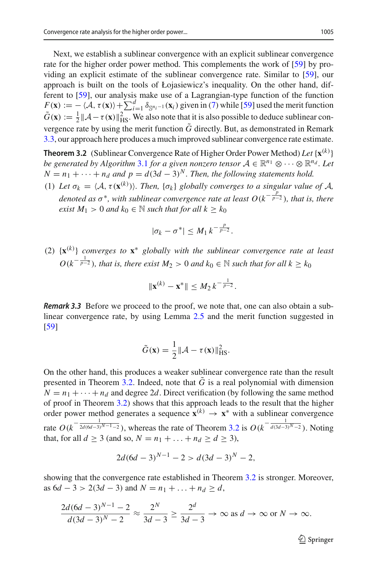Next, we establish a sublinear convergence with an explicit sublinear convergence rate for the higher order power method. This complements the work of [\[59](#page-38-4)] by providing an explicit estimate of the sublinear convergence rate. Similar to [\[59](#page-38-4)], our approach is built on the tools of Łojasiewicz's inequality. On the other hand, different to [\[59](#page-38-4)], our analysis make use of a Lagrangian-type function of the function  $F(\mathbf{x}) := -\langle A, \tau(\mathbf{x}) \rangle + \sum_{i=1}^d \delta_{\mathbb{S}^{n_i-1}}(\mathbf{x}_i)$  given in [\(7\)](#page-8-1) while [\[59](#page-38-4)] used the merit function  $\tilde{G}(\mathbf{x}) := \frac{1}{2} ||\mathcal{A} - \tau(\mathbf{x})||_{\text{HS}}^2$ . We also note that it is also possible to deduce sublinear convergence rate by using the merit function  $\tilde{G}$  directly. But, as demonstrated in Remark [3.3,](#page-12-1) our approach here produces a much improved sublinear convergence rate estimate.

<span id="page-12-0"></span>**Theorem 3.2** (Sublinear Convergence Rate of Higher Order Power Method) *Let* {**x**(*k*) } *be generated by Algorithm* [3.1](#page-8-2) *for a given nonzero tensor*  $A \in \mathbb{R}^{n_1} \otimes \cdots \otimes \mathbb{R}^{n_d}$ . Let  $N = n_1 + \cdots + n_d$  *and p* =  $d(3d - 3)^N$ *. Then, the following statements hold.* 

(1) Let  $\sigma_k = \langle A, \tau(\mathbf{x}^{(k)}) \rangle$ . Then,  $\{\sigma_k\}$  globally converges to a singular value of  $A$ , *denoted as*  $\sigma^*$ *, with sublinear convergence rate at least*  $O(k^{-\frac{p}{p-2}})$ *<i>, that is, there exist*  $M_1 > 0$  *and*  $k_0 \in \mathbb{N}$  *such that for all*  $k \geq k_0$ 

$$
|\sigma_k-\sigma^*|\leq M_1k^{-\frac{p}{p-2}}.
$$

(2) {**x**(*k*) } *converges to* **x**<sup>∗</sup> *globally with the sublinear convergence rate at least*  $O(k^{-\frac{1}{p-2}})$ , that is, there exist  $M_2 > 0$  and  $k_0 \in \mathbb{N}$  such that for all  $k \geq k_0$ 

$$
\|\mathbf{x}^{(k)} - \mathbf{x}^*\| \le M_2 k^{-\frac{1}{p-2}}.
$$

<span id="page-12-1"></span>*Remark 3.3* Before we proceed to the proof, we note that, one can also obtain a sublinear convergence rate, by using Lemma [2.5](#page-7-1) and the merit function suggested in [\[59](#page-38-4)]

$$
\tilde{G}(\mathbf{x}) = \frac{1}{2} ||\mathcal{A} - \tau(\mathbf{x})||_{\text{HS}}^2.
$$

On the other hand, this produces a weaker sublinear convergence rate than the result presented in Theorem [3.2.](#page-12-0) Indeed, note that  $\tilde{G}$  is a real polynomial with dimension  $N = n_1 + \cdots + n_d$  and degree 2*d*. Direct verification (by following the same method of proof in Theorem [3.2\)](#page-12-0) shows that this approach leads to the result that the higher order power method generates a sequence  $\mathbf{x}^{(k)} \to \mathbf{x}^*$  with a sublinear convergence rate  $O(k^{-\frac{1}{2d(6d-3)^{N-1}-2}})$ , whereas the rate of Theorem [3.2](#page-12-0) is  $O(k^{-\frac{1}{d(3d-3)^{N-2}}})$ . Noting that, for all *d* ≥ 3 (and so, *N* =  $n_1 + ... + n_d$  ≥ *d* ≥ 3),

$$
2d(6d-3)^{N-1} - 2 > d(3d-3)^N - 2,
$$

showing that the convergence rate established in Theorem [3.2](#page-12-0) is stronger. Moreover, as  $6d - 3 > 2(3d - 3)$  and  $N = n_1 + ... + n_d \ge d$ ,

$$
\frac{2d(6d-3)^{N-1}-2}{d(3d-3)^N-2} \approx \frac{2^N}{3d-3} \ge \frac{2^d}{3d-3} \to \infty \text{ as } d \to \infty \text{ or } N \to \infty.
$$

 $\mathcal{D}$  Springer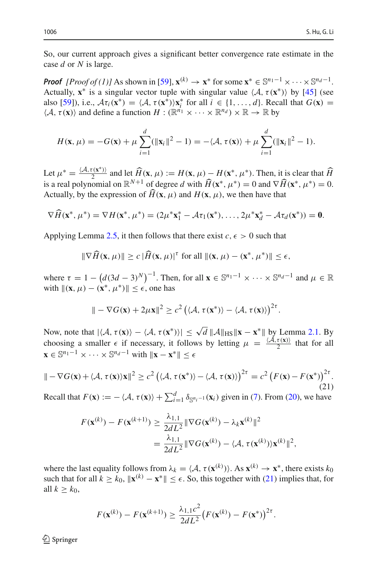So, our current approach gives a significant better convergence rate estimate in the case *d* or *N* is large.

*Proof*  $[Proof (1)]$  As shown in [\[59](#page-38-4)],  $\mathbf{x}^{(k)} \to \mathbf{x}^*$  for some  $\mathbf{x}^* \in \mathbb{S}^{n_1-1} \times \cdots \times \mathbb{S}^{n_d-1}$ . Actually,  $\mathbf{x}^*$  is a singular vector tuple with singular value  $\langle A, \tau(\mathbf{x}^*) \rangle$  by [\[45](#page-38-5)] (see also [\[59](#page-38-4)]), i.e.,  $\mathcal{A}\tau_i(\mathbf{x}^*) = \langle \mathcal{A}, \tau(\mathbf{x}^*) \rangle \mathbf{x}_i^*$  for all  $i \in \{1, ..., d\}$ . Recall that  $G(\mathbf{x}) =$  $\langle A, \tau(\mathbf{x}) \rangle$  and define a function  $H : (\mathbb{R}^{n_1} \times \cdots \times \mathbb{R}^{n_d}) \times \mathbb{R} \to \mathbb{R}$  by

$$
H(\mathbf{x}, \mu) = -G(\mathbf{x}) + \mu \sum_{i=1}^d (\|\mathbf{x}_i\|^2 - 1) = -\langle \mathcal{A}, \tau(\mathbf{x}) \rangle + \mu \sum_{i=1}^d (\|\mathbf{x}_i\|^2 - 1).
$$

Let  $\mu^* = \frac{\langle A, \tau(\mathbf{x}^*) \rangle}{2}$  and let  $\widehat{H}(\mathbf{x}, \mu) := H(\mathbf{x}, \mu) - H(\mathbf{x}^*, \mu^*)$ . Then, it is clear that  $\widehat{H}$ is a real polynomial on  $\mathbb{R}^{N+1}$  of degree *d* with  $\hat{H}(\mathbf{x}^*, \mu^*) = 0$  and  $\nabla \hat{H}(\mathbf{x}^*, \mu^*) = 0$ . Actually, by the expression of  $H(\mathbf{x}, \mu)$  and  $H(\mathbf{x}, \mu)$ , we then have that

$$
\nabla \widehat{H}(\mathbf{x}^*, \mu^*) = \nabla H(\mathbf{x}^*, \mu^*) = (2\mu^* \mathbf{x}_1^* - \mathcal{A} \tau_1(\mathbf{x}^*), \dots, 2\mu^* \mathbf{x}_d^* - \mathcal{A} \tau_d(\mathbf{x}^*)) = \mathbf{0}.
$$

Applying Lemma [2.5,](#page-7-1) it then follows that there exist  $c, \epsilon > 0$  such that

$$
\|\nabla \widehat{H}(\mathbf{x}, \mu)\| \ge c \|\widehat{H}(\mathbf{x}, \mu)\|^{\tau} \text{ for all } \|(\mathbf{x}, \mu) - (\mathbf{x}^*, \mu^*)\| \le \epsilon,
$$

where  $\tau = 1 - (d(3d - 3)^N)^{-1}$ . Then, for all  $\mathbf{x} \in \mathbb{S}^{n_1 - 1} \times \cdots \times \mathbb{S}^{n_d - 1}$  and  $\mu \in \mathbb{R}$ with  $\|(\mathbf{x}, \mu) - (\mathbf{x}^*, \mu^*)\| \leq \epsilon$ , one has

$$
\|-\nabla G(\mathbf{x})+2\mu\mathbf{x}\|^2\geq c^2\left(\langle\mathcal{A},\tau(\mathbf{x}^*)\rangle-\langle\mathcal{A},\tau(\mathbf{x})\rangle\right)^{2\tau}.
$$

Now, note that  $|\langle A, \tau(\mathbf{x}) \rangle - \langle A, \tau(\mathbf{x}^*) \rangle| \le \sqrt{d} ||A||_{\text{HS}} ||\mathbf{x} - \mathbf{x}^*||$  by Lemma [2.1.](#page-5-1) By choosing a smaller  $\epsilon$  if necessary, it follows by letting  $\mu = \frac{\langle A, \tau(\mathbf{x})\rangle}{2}$  that for all  $\mathbf{x} \in \mathbb{S}^{n_1 - 1} \times \cdots \times \mathbb{S}^{n_d - 1}$  with  $\|\mathbf{x} - \mathbf{x}^*\| \leq \epsilon$ 

<span id="page-13-0"></span>
$$
\| - \nabla G(\mathbf{x}) + \langle \mathcal{A}, \tau(\mathbf{x}) \rangle \mathbf{x} \|^2 \ge c^2 \left( \langle \mathcal{A}, \tau(\mathbf{x}^*) \rangle - \langle \mathcal{A}, \tau(\mathbf{x}) \rangle \right)^{2\tau} = c^2 \left( F(\mathbf{x}) - F(\mathbf{x}^*) \right)^{2\tau}.
$$
\n(21)

Recall that  $F(\mathbf{x}) := -\langle A, \tau(\mathbf{x}) \rangle + \sum_{i=1}^d \delta_{\mathbb{S}^{n_i-1}}(\mathbf{x}_i)$  given in [\(7\)](#page-8-1). From [\(20\)](#page-11-1), we have

$$
F(\mathbf{x}^{(k)}) - F(\mathbf{x}^{(k+1)}) \ge \frac{\lambda_{1,1}}{2dL^2} \|\nabla G(\mathbf{x}^{(k)}) - \lambda_k \mathbf{x}^{(k)}\|^2
$$
  
= 
$$
\frac{\lambda_{1,1}}{2dL^2} \|\nabla G(\mathbf{x}^{(k)}) - \langle \mathcal{A}, \tau(\mathbf{x}^{(k)}) \rangle \mathbf{x}^{(k)}\|^2,
$$

where the last equality follows from  $\lambda_k = \langle A, \tau(\mathbf{x}^{(k)}) \rangle$ . As  $\mathbf{x}^{(k)} \to \mathbf{x}^*$ , there exists  $k_0$ such that for all  $k \geq k_0$ ,  $\|\mathbf{x}^{(k)} - \mathbf{x}^*\| \leq \epsilon$ . So, this together with [\(21\)](#page-13-0) implies that, for all  $k \geq k_0$ ,

$$
F(\mathbf{x}^{(k)}) - F(\mathbf{x}^{(k+1)}) \ge \frac{\lambda_{1,1}c^2}{2dL^2} (F(\mathbf{x}^{(k)}) - F(\mathbf{x}^*))^{2\tau}.
$$

 $\mathcal{D}$  Springer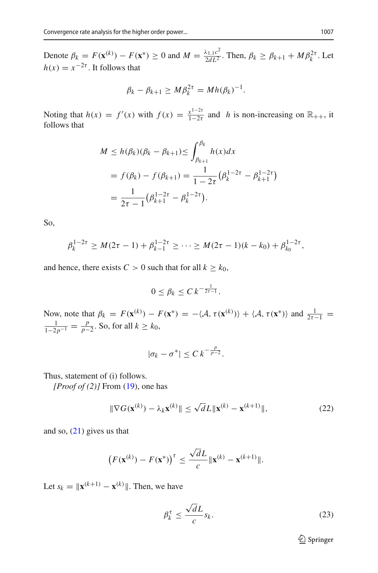Denote  $\beta_k = F(\mathbf{x}^{(k)}) - F(\mathbf{x}^*) \ge 0$  and  $M = \frac{\lambda_{1,1}c^2}{2dL^2}$ . Then,  $\beta_k \ge \beta_{k+1} + M\beta_k^{2\tau}$ . Let  $h(x) = x^{-2\tau}$ . It follows that

$$
\beta_k - \beta_{k+1} \geq M \beta_k^{2\tau} = M h(\beta_k)^{-1}.
$$

Noting that  $h(x) = f'(x)$  with  $f(x) = \frac{x^{1-2\tau}}{1-2\tau}$  and *h* is non-increasing on  $\mathbb{R}_{++}$ , it follows that

$$
M \le h(\beta_k)(\beta_k - \beta_{k+1}) \le \int_{\beta_{k+1}}^{\beta_k} h(x)dx
$$
  
=  $f(\beta_k) - f(\beta_{k+1}) = \frac{1}{1 - 2\tau} (\beta_k^{1 - 2\tau} - \beta_{k+1}^{1 - 2\tau})$   
=  $\frac{1}{2\tau - 1} (\beta_{k+1}^{1 - 2\tau} - \beta_k^{1 - 2\tau}).$ 

So,

$$
\beta_k^{1-2\tau} \ge M(2\tau - 1) + \beta_{k-1}^{1-2\tau} \ge \cdots \ge M(2\tau - 1)(k - k_0) + \beta_{k_0}^{1-2\tau},
$$

and hence, there exists  $C > 0$  such that for all  $k \geq k_0$ ,

$$
0 \leq \beta_k \leq C k^{-\frac{1}{2\tau-1}}.
$$

Now, note that  $\beta_k = F(\mathbf{x}^{(k)}) - F(\mathbf{x}^*) = -\langle \mathcal{A}, \tau(\mathbf{x}^{(k)}) \rangle + \langle \mathcal{A}, \tau(\mathbf{x}^*) \rangle$  and  $\frac{1}{2\tau-1} =$  $\frac{1}{1-2p^{-1}} = \frac{p}{p-2}$ . So, for all *k* ≥ *k*<sub>0</sub>,

$$
|\sigma_k-\sigma^*|\leq C\,k^{-\frac{p}{p-2}}.
$$

Thus, statement of (i) follows.

*[Proof of (2)]* From [\(19\)](#page-11-0), one has

$$
\|\nabla G(\mathbf{x}^{(k)}) - \lambda_k \mathbf{x}^{(k)}\| \le \sqrt{d}L \|\mathbf{x}^{(k)} - \mathbf{x}^{(k+1)}\|,\tag{22}
$$

and so,  $(21)$  gives us that

$$
\left(F(\mathbf{x}^{(k)}) - F(\mathbf{x}^*)\right)^{\tau} \le \frac{\sqrt{d}L}{c} \|\mathbf{x}^{(k)} - \mathbf{x}^{(k+1)}\|.
$$

Let  $s_k = ||\mathbf{x}^{(k+1)} - \mathbf{x}^{(k)}||$ . Then, we have

<span id="page-14-0"></span>
$$
\beta_k^{\tau} \le \frac{\sqrt{d}L}{c} s_k. \tag{23}
$$

<sup>2</sup> Springer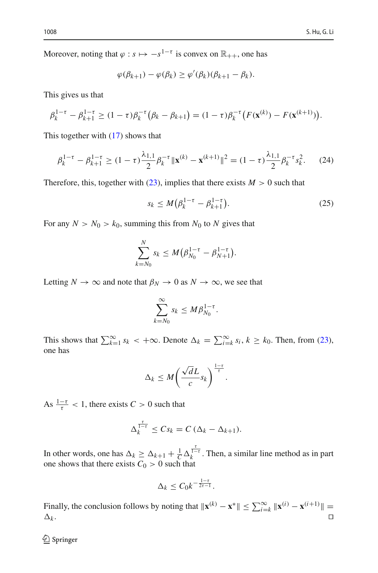Moreover, noting that  $\varphi$  :  $s \mapsto -s^{1-\tau}$  is convex on  $\mathbb{R}_{++}$ , one has

$$
\varphi(\beta_{k+1}) - \varphi(\beta_k) \ge \varphi'(\beta_k)(\beta_{k+1} - \beta_k).
$$

This gives us that

$$
\beta_k^{1-\tau} - \beta_{k+1}^{1-\tau} \ge (1-\tau)\beta_k^{-\tau} (\beta_k - \beta_{k+1}) = (1-\tau)\beta_k^{-\tau} (F(\mathbf{x}^{(k)}) - F(\mathbf{x}^{(k+1)})).
$$

This together with [\(17\)](#page-10-3) shows that

$$
\beta_k^{1-\tau} - \beta_{k+1}^{1-\tau} \ge (1-\tau) \frac{\lambda_{1,1}}{2} \beta_k^{-\tau} \| \mathbf{x}^{(k)} - \mathbf{x}^{(k+1)} \|^2 = (1-\tau) \frac{\lambda_{1,1}}{2} \beta_k^{-\tau} s_k^2. \tag{24}
$$

Therefore, this, together with  $(23)$ , implies that there exists  $M > 0$  such that

$$
s_k \le M(\beta_k^{1-\tau} - \beta_{k+1}^{1-\tau}).
$$
\n(25)

For any  $N > N_0 > k_0$ , summing this from  $N_0$  to  $N$  gives that

$$
\sum_{k=N_0}^N s_k \le M(\beta_{N_0}^{1-\tau} - \beta_{N+1}^{1-\tau}).
$$

Letting  $N \to \infty$  and note that  $\beta_N \to 0$  as  $N \to \infty$ , we see that

$$
\sum_{k=N_0}^{\infty} s_k \leq M \beta_{N_0}^{1-\tau}.
$$

This shows that  $\sum_{k=1}^{\infty} s_k < +\infty$ . Denote  $\Delta_k = \sum_{i=k}^{\infty} s_i, k \ge k_0$ . Then, from [\(23\)](#page-14-0), one has

$$
\Delta_k \leq M \bigg( \frac{\sqrt{d}L}{c} s_k \bigg)^{\frac{1-\tau}{\tau}}.
$$

As  $\frac{1-\tau}{\tau}$  < 1, there exists *C* > 0 such that

$$
\Delta_k^{\frac{\tau}{1-\tau}} \leq C s_k = C \left( \Delta_k - \Delta_{k+1} \right).
$$

In other words, one has  $\Delta_k \geq \Delta_{k+1} + \frac{1}{C} \Delta_k^{\frac{t}{1-\epsilon}}$ . Then, a similar line method as in part one shows that there exists  $C_0 > 0$  such that

$$
\Delta_k \leq C_0 k^{-\frac{1-\tau}{2\tau-1}}.
$$

Finally, the conclusion follows by noting that  $\|\mathbf{x}^{(k)} - \mathbf{x}^*\| \le \sum_{i=k}^{\infty} \|\mathbf{x}^{(i)} - \mathbf{x}^{(i+1)}\| =$  $\Delta_k$ .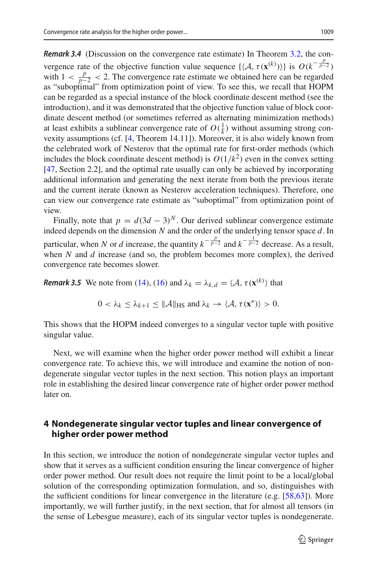*Remark 3.4* (Discussion on the convergence rate estimate) In Theorem [3.2,](#page-12-0) the convergence rate of the objective function value sequence  $\{\langle A, \tau(\mathbf{x}^{(k)})\rangle\}$  is  $O(k^{-\frac{p}{p-2}})$ with  $1 < \frac{p}{p-2} < 2$ . The convergence rate estimate we obtained here can be regarded as "suboptimal" from optimization point of view. To see this, we recall that HOPM can be regarded as a special instance of the block coordinate descent method (see the introduction), and it was demonstrated that the objective function value of block coordinate descent method (or sometimes referred as alternating minimization methods) at least exhibits a sublinear convergence rate of  $O(\frac{1}{k})$  without assuming strong convexity assumptions (cf. [\[4,](#page-36-6) Theorem 14.11]). Moreover, it is also widely known from the celebrated work of Nesterov that the optimal rate for first-order methods (which includes the block coordinate descent method) is  $O(1/k^2)$  even in the convex setting [\[47](#page-38-15), Section 2.2], and the optimal rate usually can only be achieved by incorporating additional information and generating the next iterate from both the previous iterate and the current iterate (known as Nesterov acceleration techniques). Therefore, one can view our convergence rate estimate as "suboptimal" from optimization point of view.

Finally, note that  $p = d(3d - 3)^N$ . Our derived sublinear convergence estimate indeed depends on the dimension *N* and the order of the underlying tensor space *d*. In particular, when *N* or *d* increase, the quantity  $k^{-\frac{p}{p-2}}$  and  $k^{-\frac{1}{p-2}}$  decrease. As a result, when *N* and *d* increase (and so, the problem becomes more complex), the derived convergence rate becomes slower.

<span id="page-16-1"></span>*Remark 3.5* We note from [\(14\)](#page-10-0), [\(16\)](#page-10-2) and  $\lambda_k = \lambda_{k,d} = \langle A, \tau(\mathbf{x}^{(k)}) \rangle$  that

$$
0 < \lambda_k \leq \lambda_{k+1} \leq \|\mathcal{A}\|_{\text{HS}} \text{ and } \lambda_k \to \langle \mathcal{A}, \tau(\mathbf{x}^*) \rangle > 0.
$$

This shows that the HOPM indeed converges to a singular vector tuple with positive singular value.

Next, we will examine when the higher order power method will exhibit a linear convergence rate. To achieve this, we will introduce and examine the notion of nondegenerate singular vector tuples in the next section. This notion plays an important role in establishing the desired linear convergence rate of higher order power method later on.

# <span id="page-16-0"></span>**4 Nondegenerate singular vector tuples and linear convergence of higher order power method**

In this section, we introduce the notion of nondegenerate singular vector tuples and show that it serves as a sufficient condition ensuring the linear convergence of higher order power method. Our result does not require the limit point to be a local/global solution of the corresponding optimization formulation, and so, distinguishes with the sufficient conditions for linear convergence in the literature (e.g. [\[58](#page-38-0)[,63](#page-38-2)]). More importantly, we will further justify, in the next section, that for almost all tensors (in the sense of Lebesgue measure), each of its singular vector tuples is nondegenerate.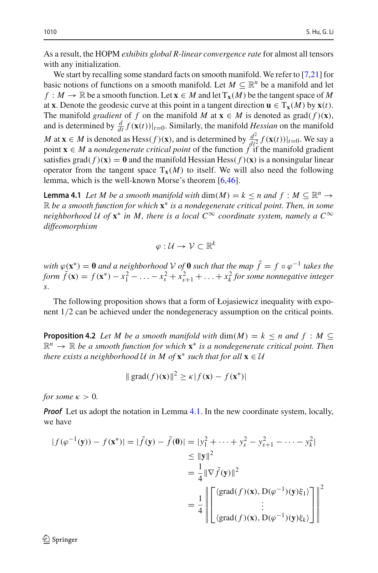As a result, the HOPM *exhibits global R-linear convergence rate* for almost all tensors with any initialization.

We start by recalling some standard facts on smooth manifold. We refer to [\[7](#page-36-7)[,21](#page-37-24)] for basic notions of functions on a smooth manifold. Let  $M \subseteq \mathbb{R}^n$  be a manifold and let  $f : M \to \mathbb{R}$  be a smooth function. Let  $\mathbf{x} \in M$  and let  $T_{\mathbf{x}}(M)$  be the tangent space of M at **x**. Denote the geodesic curve at this point in a tangent direction  $\mathbf{u} \in T_{\mathbf{x}}(M)$  by  $\mathbf{x}(t)$ . The manifold *gradient* of *f* on the manifold *M* at  $\mathbf{x} \in M$  is denoted as grad( $f$ )( $\mathbf{x}$ ), and is determined by  $\frac{d}{dt} f(\mathbf{x}(t))|_{t=0}$ . Similarly, the manifold *Hessian* on the manifold *M* at **x** ∈ *M* is denoted as Hess(*f*)(**x**), and is determined by  $\frac{d^2}{dt^2} f(\mathbf{x}(t))|_{t=0}$ . We say a point  $\mathbf{x} \in M$  a *nondegenerate critical point* of the function  $f$  if the manifold gradient satisfies grad $(f)(\mathbf{x}) = \mathbf{0}$  and the manifold Hessian Hess $(f)(\mathbf{x})$  is a nonsingular linear operator from the tangent space  $T_x(M)$  to itself. We will also need the following lemma, which is the well-known Morse's theorem [\[6](#page-36-8)[,46\]](#page-38-16).

<span id="page-17-0"></span>**Lemma 4.1** *Let M be a smooth manifold with* dim(*M*) =  $k < n$  *and*  $f : M \subseteq \mathbb{R}^n \rightarrow$ R *be a smooth function for which* **x**<sup>∗</sup> *is a nondegenerate critical point. Then, in some neighborhood U of*  $\mathbf{x}^*$  *in M, there is a local*  $C^{\infty}$  *coordinate system, namely a*  $C^{\infty}$ *diffeomorphism*

$$
\varphi:\mathcal{U}\to\mathcal{V}\subset\mathbb{R}^k
$$

*with*  $\varphi(\mathbf{x}^*) = \mathbf{0}$  *and a neighborhood*  $V$  *of*  $\mathbf{0}$  *such that the map*  $\tilde{f} = f \circ \varphi^{-1}$  *takes the form*  $\tilde{f}(\mathbf{x}) = f(\mathbf{x}^*) - x_1^2 - \ldots - x_s^2 + x_{s+1}^2 + \ldots + x_k^2$  *for some nonnegative integer s.*

The following proposition shows that a form of Łojasiewicz inequality with exponent 1/2 can be achieved under the nondegeneracy assumption on the critical points.

<span id="page-17-1"></span>**Proposition 4.2** *Let M be a smooth manifold with*  $\dim(M) = k \leq n$  *and*  $f : M \subseteq$ <sup>R</sup>*<sup>n</sup>* <sup>→</sup> <sup>R</sup> *be a smooth function for which* **<sup>x</sup>**<sup>∗</sup> *is a nondegenerate critical point. Then there exists a neighborhood U in M of*  $\mathbf{x}^*$  *such that for all*  $\mathbf{x} \in \mathcal{U}$ 

$$
\|\operatorname{grad}(f)(\mathbf{x})\|^2 \ge \kappa |f(\mathbf{x}) - f(\mathbf{x}^*)|
$$

*for some*  $\kappa > 0$ *.* 

*Proof* Let us adopt the notation in Lemma [4.1.](#page-17-0) In the new coordinate system, locally, we have

$$
|f(\varphi^{-1}(\mathbf{y})) - f(\mathbf{x}^*)| = |\tilde{f}(\mathbf{y}) - \tilde{f}(\mathbf{0})| = |y_1^2 + \dots + y_s^2 - y_{s+1}^2 - \dots - y_k^2|
$$
  
\n
$$
\leq ||\mathbf{y}||^2
$$
  
\n
$$
= \frac{1}{4} ||\nabla \tilde{f}(\mathbf{y})||^2
$$
  
\n
$$
= \frac{1}{4} \left\| \begin{bmatrix} \langle \text{grad}(f)(\mathbf{x}), \mathbf{D}(\varphi^{-1})(\mathbf{y})\xi_1 \rangle \\ \vdots \\ \langle \text{grad}(f)(\mathbf{x}), \mathbf{D}(\varphi^{-1})(\mathbf{y})\xi_k \rangle \end{bmatrix} \right\|^2
$$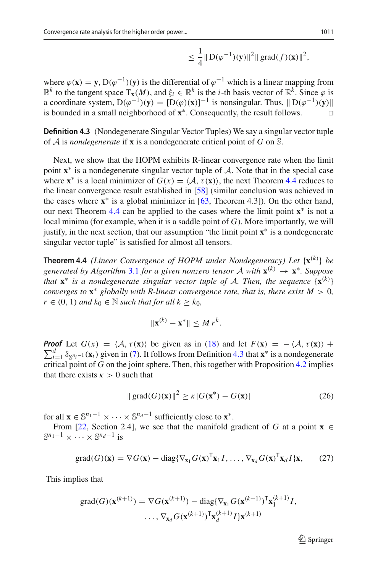$$
\leq \frac{1}{4} \| D(\varphi^{-1})(y) \|^2 \| \text{grad}(f)(x) \|^2,
$$

where  $\varphi$ (**x**) = **y**, D( $\varphi$ <sup>-1</sup>)(**y**) is the differential of  $\varphi$ <sup>-1</sup> which is a linear mapping from  $\mathbb{R}^k$  to the tangent space  $T_x(M)$ , and  $\xi_i \in \mathbb{R}^k$  is the *i*-th basis vector of  $\mathbb{R}^k$ . Since  $\varphi$  is a coordinate system,  $D(\varphi^{-1})(y) = [D(\varphi)(x)]^{-1}$  is nonsingular. Thus,  $||D(\varphi^{-1})(y)||$ is bounded in a small neighborhood of **x**∗. Consequently, the result follows. 

<span id="page-18-1"></span>**Definition 4.3** (Nondegenerate Singular Vector Tuples) We say a singular vector tuple of *<sup>A</sup>* is *nondegenerate* if **<sup>x</sup>** is a nondegenerate critical point of *<sup>G</sup>* on <sup>S</sup>.

Next, we show that the HOPM exhibits R-linear convergence rate when the limit point  $\mathbf{x}^*$  is a nondegenerate singular vector tuple of  $A$ . Note that in the special case where  $\mathbf{x}^*$  is a local minimizer of  $G(x) = \langle A, \tau(\mathbf{x}) \rangle$ , the next Theorem [4.4](#page-18-0) reduces to the linear convergence result established in [\[58\]](#page-38-0) (similar conclusion was achieved in the cases where  $x^*$  is a global minimizer in  $[63,$  $[63,$  Theorem 4.3]). On the other hand, our next Theorem [4.4](#page-18-0) can be applied to the cases where the limit point **x**∗ is not a local minima (for example, when it is a saddle point of *G*). More importantly, we will justify, in the next section, that our assumption "the limit point **x**∗ is a nondegenerate singular vector tuple" is satisfied for almost all tensors.

<span id="page-18-0"></span>**Theorem 4.4** *(Linear Convergence of HOPM under Nondegeneracy) Let* {**x**(*k*) } *be generated by Algorithm* [3.1](#page-8-2) *for a given nonzero tensor A with*  $\mathbf{x}^{(k)} \rightarrow \mathbf{x}^*$ *. Suppose that* **<sup>x</sup>**<sup>∗</sup> *is a nondegenerate singular vector tuple of <sup>A</sup>. Then, the sequence* {**x**(*k*) } *converges to*  $\mathbf{x}^*$  *globally with R-linear convergence rate, that is, there exist*  $M > 0$ , *r* ∈ (0, 1) *and*  $k_0$  ∈ *N such that for all*  $k > k_0$ *,* 

$$
\|\mathbf{x}^{(k)}-\mathbf{x}^*\|\leq M r^k.
$$

 $\sum_{i=1}^{d} \delta_{\mathbb{S}^{n_i-1}}(\mathbf{x}_i)$  given in [\(7\)](#page-8-1). It follows from Definition [4.3](#page-18-1) that **x**<sup>∗</sup> is a nondegenerate *Proof* Let  $G(x) = \langle A, \tau(\mathbf{x}) \rangle$  be given as in [\(18\)](#page-11-2) and let  $F(\mathbf{x}) = -\langle A, \tau(\mathbf{x}) \rangle +$ critical point of *G* on the joint sphere. Then, this together with Proposition [4.2](#page-17-1) implies that there exists  $\kappa > 0$  such that

<span id="page-18-2"></span>
$$
\|\operatorname{grad}(G)(\mathbf{x})\|^2 \ge \kappa |G(\mathbf{x}^*) - G(\mathbf{x})| \tag{26}
$$

for all  $\mathbf{x} \in \mathbb{S}^{n_1-1} \times \cdots \times \mathbb{S}^{n_d-1}$  sufficiently close to  $\mathbf{x}^*$ .

From [\[22,](#page-37-25) Section 2.4], we see that the manifold gradient of *G* at a point **x** ∈  $\mathbb{S}^{n_1-1} \times \cdots \times \mathbb{S}^{n_d-1}$  is

$$
\text{grad}(G)(\mathbf{x}) = \nabla G(\mathbf{x}) - \text{diag}\{\nabla_{\mathbf{x}_1} G(\mathbf{x})^{\mathsf{T}} \mathbf{x}_1 I, \dots, \nabla_{\mathbf{x}_d} G(\mathbf{x})^{\mathsf{T}} \mathbf{x}_d I\} \mathbf{x},\tag{27}
$$

This implies that

$$
\text{grad}(G)(\mathbf{x}^{(k+1)}) = \nabla G(\mathbf{x}^{(k+1)}) - \text{diag}\{\nabla_{\mathbf{x}_1} G(\mathbf{x}^{(k+1)})^\mathsf{T} \mathbf{x}_1^{(k+1)} I, \\ \dots, \nabla_{\mathbf{x}_d} G(\mathbf{x}^{(k+1)})^\mathsf{T} \mathbf{x}_d^{(k+1)} I\} \mathbf{x}^{(k+1)}
$$

 $\mathcal{D}$  Springer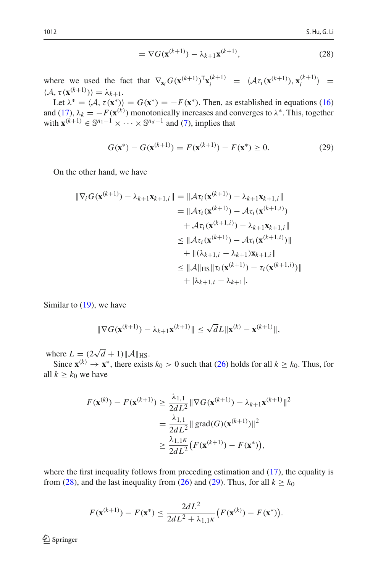<span id="page-19-0"></span>
$$
= \nabla G(\mathbf{x}^{(k+1)}) - \lambda_{k+1} \mathbf{x}^{(k+1)},
$$
\n(28)

where we used the fact that  $\nabla_{\mathbf{x}_i} G(\mathbf{x}^{(k+1)})^\mathsf{T} \mathbf{x}_i^{(k+1)} = \langle \mathcal{A} \tau_i(\mathbf{x}^{(k+1)}), \mathbf{x}_i^{(k+1)} \rangle =$  $\langle A, \tau(\mathbf{x}^{(k+1)}) \rangle = \lambda_{k+1}.$ 

Let  $\lambda^* = \langle A, \tau(\mathbf{x}^*) \rangle = G(\mathbf{x}^*) = -F(\mathbf{x}^*)$ . Then, as established in equations [\(16\)](#page-10-2) and [\(17\)](#page-10-3),  $\lambda_k = -F(\mathbf{x}^{(k)})$  monotonically increases and converges to  $\lambda^*$ . This, together with  $\mathbf{x}^{(k+1)} \in \mathbb{S}^{n_1-1} \times \cdots \times \mathbb{S}^{n_d-1}$  and [\(7\)](#page-8-1), implies that

<span id="page-19-1"></span>
$$
G(\mathbf{x}^*) - G(\mathbf{x}^{(k+1)}) = F(\mathbf{x}^{(k+1)}) - F(\mathbf{x}^*) \ge 0.
$$
 (29)

On the other hand, we have

$$
\|\nabla_i G(\mathbf{x}^{(k+1)}) - \lambda_{k+1} \mathbf{x}_{k+1,i}\| = \|\mathcal{A}\tau_i(\mathbf{x}^{(k+1)}) - \lambda_{k+1} \mathbf{x}_{k+1,i}\| \n= \|\mathcal{A}\tau_i(\mathbf{x}^{(k+1)}) - \mathcal{A}\tau_i(\mathbf{x}^{(k+1,i)}) \n+ \mathcal{A}\tau_i(\mathbf{x}^{(k+1,i)}) - \lambda_{k+1} \mathbf{x}_{k+1,i}\| \n\leq \|\mathcal{A}\tau_i(\mathbf{x}^{(k+1)}) - \mathcal{A}\tau_i(\mathbf{x}^{(k+1,i)})\| \n+ \|(\lambda_{k+1,i} - \lambda_{k+1}) \mathbf{x}_{k+1,i}\| \n\leq \|\mathcal{A}\|_{\text{HS}} \|\tau_i(\mathbf{x}^{(k+1)}) - \tau_i(\mathbf{x}^{(k+1,i)})\| \n+ |\lambda_{k+1,i} - \lambda_{k+1}|.
$$

Similar to  $(19)$ , we have

$$
\|\nabla G(\mathbf{x}^{(k+1)}) - \lambda_{k+1}\mathbf{x}^{(k+1)}\| \le \sqrt{d}L\|\mathbf{x}^{(k)} - \mathbf{x}^{(k+1)}\|,
$$

where  $L = (2\sqrt{d} + 1) ||\mathcal{A}||_{\text{HS}}$ .

Since  $\mathbf{x}^{(k)} \to \mathbf{x}^*$ , there exists  $k_0 > 0$  such that [\(26\)](#page-18-2) holds for all  $k \geq k_0$ . Thus, for all  $k \geq k_0$  we have

$$
F(\mathbf{x}^{(k)}) - F(\mathbf{x}^{(k+1)}) \ge \frac{\lambda_{1,1}}{2dL^2} \|\nabla G(\mathbf{x}^{(k+1)}) - \lambda_{k+1}\mathbf{x}^{(k+1)}\|^2
$$
  
=  $\frac{\lambda_{1,1}}{2dL^2} \|\text{grad}(G)(\mathbf{x}^{(k+1)})\|^2$   
 $\ge \frac{\lambda_{1,1}\kappa}{2dL^2} \big(F(\mathbf{x}^{(k+1)}) - F(\mathbf{x}^*)\big),$ 

where the first inequality follows from preceding estimation and  $(17)$ , the equality is from [\(28\)](#page-19-0), and the last inequality from [\(26\)](#page-18-2) and [\(29\)](#page-19-1). Thus, for all  $k \geq k_0$ 

$$
F(\mathbf{x}^{(k+1)}) - F(\mathbf{x}^*) \le \frac{2dL^2}{2dL^2 + \lambda_{1,1}K} \big( F(\mathbf{x}^{(k)}) - F(\mathbf{x}^*) \big).
$$

 $\mathcal{D}$  Springer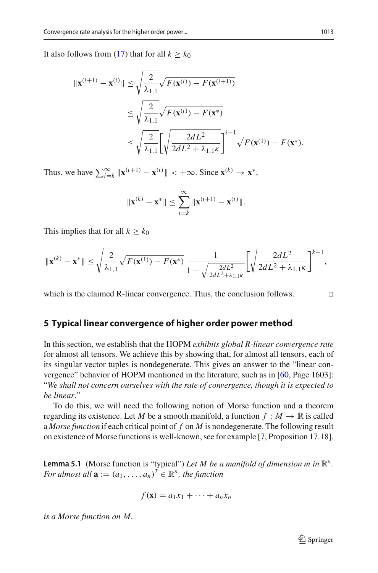It also follows from [\(17\)](#page-10-3) that for all  $k \geq k_0$ 

$$
\begin{aligned} \|\mathbf{x}^{(i+1)} - \mathbf{x}^{(i)}\| &\leq \sqrt{\frac{2}{\lambda_{1,1}}} \sqrt{F(\mathbf{x}^{(i)}) - F(\mathbf{x}^{(i+1)})} \\ &\leq \sqrt{\frac{2}{\lambda_{1,1}}} \sqrt{F(\mathbf{x}^{(i)}) - F(\mathbf{x}^*)} \\ &\leq \sqrt{\frac{2}{\lambda_{1,1}}} \left[ \sqrt{\frac{2dL^2}{2dL^2 + \lambda_{1,1}\kappa}} \right]^{i-1} \sqrt{F(\mathbf{x}^{(1)}) - F(\mathbf{x}^*)} .\end{aligned}
$$

Thus, we have  $\sum_{i=k}^{\infty} ||\mathbf{x}^{(i+1)} - \mathbf{x}^{(i)}|| < +\infty$ . Since  $\mathbf{x}^{(k)} \to \mathbf{x}^*$ ,

$$
\|\mathbf{x}^{(k)} - \mathbf{x}^*\| \le \sum_{i=k}^{\infty} \|\mathbf{x}^{(i+1)} - \mathbf{x}^{(i)}\|.
$$

This implies that for all  $k \geq k_0$ 

$$
\|\mathbf{x}^{(k)} - \mathbf{x}^*\| \leq \sqrt{\frac{2}{\lambda_{1,1}}} \sqrt{F(\mathbf{x}^{(1)}) - F(\mathbf{x}^*)} \frac{1}{1 - \sqrt{\frac{2dL^2}{2dL^2 + \lambda_{1,1}\kappa}}} \left[ \sqrt{\frac{2dL^2}{2dL^2 + \lambda_{1,1}\kappa}} \right]^{k-1},
$$

which is the claimed R-linear convergence. Thus, the conclusion follows.  $\Box$ 

#### <span id="page-20-0"></span>**5 Typical linear convergence of higher order power method**

In this section, we establish that the HOPM *exhibits global R-linear convergence rate* for almost all tensors. We achieve this by showing that, for almost all tensors, each of its singular vector tuples is nondegenerate. This gives an answer to the "linear convergence" behavior of HOPM mentioned in the literature, such as in [\[60,](#page-38-1) Page 1603]: "*We shall not concern ourselves with the rate of convergence, though it is expected to be linear*."

To do this, we will need the following notion of Morse function and a theorem regarding its existence. Let *M* be a smooth manifold, a function  $f : M \to \mathbb{R}$  is called a *Morse function* if each critical point of *f* on *M* is nondegenerate. The following result on existence of Morse functions is well-known, see for example [\[7](#page-36-7), Proposition 17.18].

<span id="page-20-1"></span>**Lemma 5.1** (Morse function is "typical") Let M be a manifold of dimension m in  $\mathbb{R}^n$ . *For almost all*  $\mathbf{a} := (a_1, \ldots, a_n)^T \in \mathbb{R}^n$ , the function

$$
f(\mathbf{x}) = a_1x_1 + \cdots + a_nx_n
$$

*is a Morse function on M.*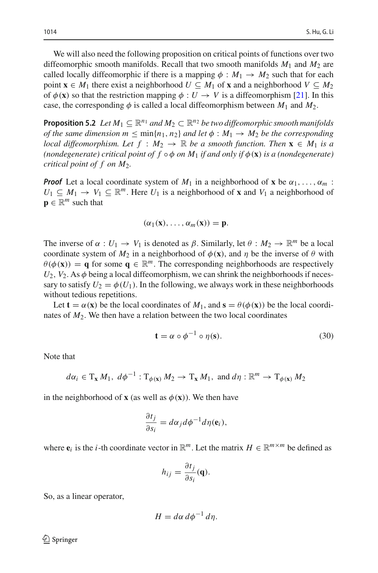We will also need the following proposition on critical points of functions over two diffeomorphic smooth manifolds. Recall that two smooth manifolds  $M_1$  and  $M_2$  are called locally diffeomorphic if there is a mapping  $\phi : M_1 \rightarrow M_2$  such that for each point **x**  $\in$  *M*<sub>1</sub> there exist a neighborhood *U*  $\subseteq$  *M*<sub>1</sub> of **x** and a neighborhood *V*  $\subseteq$  *M*<sub>2</sub> of  $\phi(\mathbf{x})$  so that the restriction mapping  $\phi: U \to V$  is a diffeomorphism [\[21](#page-37-24)]. In this case, the corresponding  $\phi$  is called a local diffeomorphism between  $M_1$  and  $M_2$ .

<span id="page-21-1"></span>**Proposition 5.2** *Let*  $M_1 \subseteq \mathbb{R}^{n_1}$  *and*  $M_2 \subset \mathbb{R}^{n_2}$  *be two diffeomorphic smooth manifolds of the same dimension*  $m \leq \min\{n_1, n_2\}$  *and let*  $\phi : M_1 \to M_2$  *be the corresponding local diffeomorphism. Let*  $f : M_2 \to \mathbb{R}$  *be a smooth function. Then*  $\mathbf{x} \in M_1$  *is a (nondegenerate) critical point of f*  $\circ \phi$  *on M<sub>1</sub> if and only if*  $\phi(\mathbf{x})$  *is a (nondegenerate) critical point of f on M*2*.*

*Proof* Let a local coordinate system of  $M_1$  in a neighborhood of **x** be  $\alpha_1, \ldots, \alpha_m$ :  $U_1 \subseteq M_1 \rightarrow V_1 \subseteq \mathbb{R}^m$ . Here  $U_1$  is a neighborhood of **x** and  $V_1$  a neighborhood of  $\mathbf{p} \in \mathbb{R}^m$  such that

$$
(\alpha_1(\mathbf{x}),\ldots,\alpha_m(\mathbf{x}))=\mathbf{p}.
$$

The inverse of  $\alpha : U_1 \to V_1$  is denoted as  $\beta$ . Similarly, let  $\theta : M_2 \to \mathbb{R}^m$  be a local coordinate system of  $M_2$  in a neighborhood of  $\phi(\mathbf{x})$ , and  $\eta$  be the inverse of  $\theta$  with  $\theta(\phi(\mathbf{x})) = \mathbf{q}$  for some  $\mathbf{q} \in \mathbb{R}^m$ . The corresponding neighborhoods are respectively  $U_2$ ,  $V_2$ . As  $\phi$  being a local diffeomorphism, we can shrink the neighborhoods if necessary to satisfy  $U_2 = \phi(U_1)$ . In the following, we always work in these neighborhoods without tedious repetitions.

Let  $\mathbf{t} = \alpha(\mathbf{x})$  be the local coordinates of  $M_1$ , and  $\mathbf{s} = \theta(\phi(\mathbf{x}))$  be the local coordinates of  $M_2$ . We then have a relation between the two local coordinates

<span id="page-21-0"></span>
$$
\mathbf{t} = \alpha \circ \phi^{-1} \circ \eta(\mathbf{s}).\tag{30}
$$

Note that

$$
d\alpha_i \in T_{\mathbf{x}} M_1, \; d\phi^{-1} : T_{\phi(\mathbf{x})} M_2 \to T_{\mathbf{x}} M_1, \; \text{and} \; d\eta : \mathbb{R}^m \to T_{\phi(\mathbf{x})} M_2
$$

in the neighborhood of **x** (as well as  $\phi$  (**x**)). We then have

$$
\frac{\partial t_j}{\partial s_i} = d\alpha_j d\phi^{-1} d\eta(\mathbf{e}_i),
$$

where  $e_i$  is the *i*-th coordinate vector in  $\mathbb{R}^m$ . Let the matrix  $H \in \mathbb{R}^{m \times m}$  be defined as

$$
h_{ij} = \frac{\partial t_j}{\partial s_i}(\mathbf{q}).
$$

So, as a linear operator,

$$
H = d\alpha \, d\phi^{-1} \, d\eta.
$$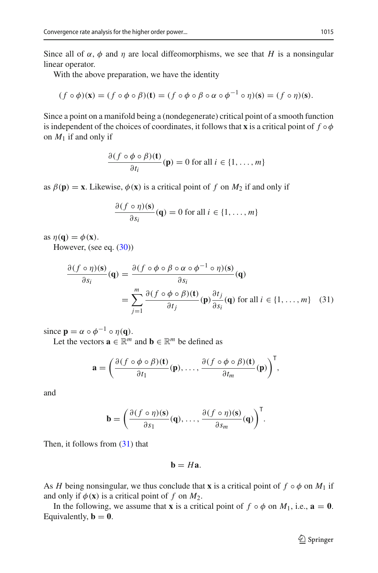Since all of  $\alpha$ ,  $\phi$  and  $\eta$  are local diffeomorphisms, we see that *H* is a nonsingular linear operator.

With the above preparation, we have the identity

$$
(f \circ \phi)(\mathbf{x}) = (f \circ \phi \circ \beta)(\mathbf{t}) = (f \circ \phi \circ \beta \circ \alpha \circ \phi^{-1} \circ \eta)(\mathbf{s}) = (f \circ \eta)(\mathbf{s}).
$$

Since a point on a manifold being a (nondegenerate) critical point of a smooth function is independent of the choices of coordinates, it follows that **x** is a critical point of  $f \circ \phi$ on  $M_1$  if and only if

$$
\frac{\partial (f \circ \phi \circ \beta)(t)}{\partial t_i}(\mathbf{p}) = 0 \text{ for all } i \in \{1, ..., m\}
$$

as  $\beta(\mathbf{p}) = \mathbf{x}$ . Likewise,  $\phi(\mathbf{x})$  is a critical point of f on  $M_2$  if and only if

$$
\frac{\partial (f \circ \eta)(s)}{\partial s_i}(\mathbf{q}) = 0 \text{ for all } i \in \{1, ..., m\}
$$

as  $\eta(\mathbf{q}) = \phi(\mathbf{x})$ .

However, (see eq. [\(30\)](#page-21-0))

<span id="page-22-0"></span>
$$
\frac{\partial (f \circ \eta)(s)}{\partial s_i}(\mathbf{q}) = \frac{\partial (f \circ \phi \circ \beta \circ \alpha \circ \phi^{-1} \circ \eta)(s)}{\partial s_i}(\mathbf{q})
$$

$$
= \sum_{j=1}^m \frac{\partial (f \circ \phi \circ \beta)(t)}{\partial t_j}(\mathbf{p}) \frac{\partial t_j}{\partial s_i}(\mathbf{q}) \text{ for all } i \in \{1, ..., m\} \quad (31)
$$

since  $\mathbf{p} = \alpha \circ \phi^{-1} \circ \eta(\mathbf{q}).$ 

Let the vectors  $\mathbf{a} \in \mathbb{R}^m$  and  $\mathbf{b} \in \mathbb{R}^m$  be defined as

$$
\mathbf{a} = \left(\frac{\partial (f \circ \phi \circ \beta)(\mathbf{t})}{\partial t_1}(\mathbf{p}), \ldots, \frac{\partial (f \circ \phi \circ \beta)(\mathbf{t})}{\partial t_m}(\mathbf{p})\right)^T,
$$

and

$$
\mathbf{b} = \left(\frac{\partial (f \circ \eta)(\mathbf{s})}{\partial s_1}(\mathbf{q}), \ldots, \frac{\partial (f \circ \eta)(\mathbf{s})}{\partial s_m}(\mathbf{q})\right)^T.
$$

Then, it follows from [\(31\)](#page-22-0) that

$$
\mathbf{b}=H\mathbf{a}.
$$

As *H* being nonsingular, we thus conclude that **x** is a critical point of  $f \circ \phi$  on  $M_1$  if and only if  $\phi(\mathbf{x})$  is a critical point of *f* on  $M_2$ .

In the following, we assume that **x** is a critical point of  $f \circ \phi$  on  $M_1$ , i.e.,  $\mathbf{a} = \mathbf{0}$ . Equivalently,  $\mathbf{b} = \mathbf{0}$ .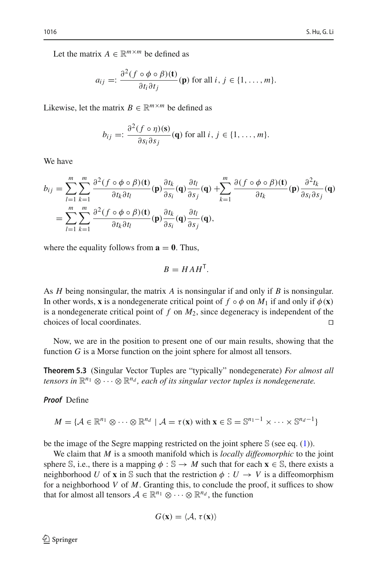Let the matrix  $A \in \mathbb{R}^{m \times m}$  be defined as

$$
a_{ij} =: \frac{\partial^2 (f \circ \phi \circ \beta)(t)}{\partial t_i \partial t_j}(\mathbf{p}) \text{ for all } i, j \in \{1, \dots, m\}.
$$

Likewise, let the matrix  $B \in \mathbb{R}^{m \times m}$  be defined as

$$
b_{ij} =: \frac{\partial^2 (f \circ \eta)(\mathbf{s})}{\partial s_i \partial s_j}(\mathbf{q}) \text{ for all } i, j \in \{1, \dots, m\}.
$$

We have

$$
b_{ij} = \sum_{l=1}^{m} \sum_{k=1}^{m} \frac{\partial^2 (f \circ \phi \circ \beta)(t)}{\partial t_k \partial t_l} (p) \frac{\partial t_k}{\partial s_i} (q) \frac{\partial t_l}{\partial s_j} (q) + \sum_{k=1}^{m} \frac{\partial (f \circ \phi \circ \beta)(t)}{\partial t_k} (p) \frac{\partial^2 t_k}{\partial s_i \partial s_j} (q)
$$
  
= 
$$
\sum_{l=1}^{m} \sum_{k=1}^{m} \frac{\partial^2 (f \circ \phi \circ \beta)(t)}{\partial t_k \partial t_l} (p) \frac{\partial t_k}{\partial s_i} (q) \frac{\partial t_l}{\partial s_j} (q),
$$

where the equality follows from  $\mathbf{a} = \mathbf{0}$ . Thus,

$$
B = HAH^{\mathsf{T}}.
$$

As *H* being nonsingular, the matrix *A* is nonsingular if and only if *B* is nonsingular. In other words, **x** is a nondegenerate critical point of  $f \circ \phi$  on  $M_1$  if and only if  $\phi(\mathbf{x})$ is a nondegenerate critical point of *f* on *M*2, since degeneracy is independent of the choices of local coordinates. 

Now, we are in the position to present one of our main results, showing that the function *G* is a Morse function on the joint sphere for almost all tensors.

**Theorem 5.3** (Singular Vector Tuples are "typically" nondegenerate) *For almost all tensors in*  $\mathbb{R}^{n_1} \otimes \cdots \otimes \mathbb{R}^{n_d}$ , each of its singular vector tuples is nondegenerate.

*Proof* Define

$$
M = \{ \mathcal{A} \in \mathbb{R}^{n_1} \otimes \cdots \otimes \mathbb{R}^{n_d} \mid \mathcal{A} = \tau(\mathbf{x}) \text{ with } \mathbf{x} \in \mathbb{S} = \mathbb{S}^{n_1 - 1} \times \cdots \times \mathbb{S}^{n_d - 1} \}
$$

be the image of the Segre mapping restricted on the joint sphere  $\mathcal S$  (see eq. [\(1\)](#page-3-1)).

We claim that *M* is a smooth manifold which is *locally diffeomorphic* to the joint sphere S, i.e., there is a mapping  $\phi : \mathbb{S} \to M$  such that for each  $\mathbf{x} \in \mathbb{S}$ , there exists a neighborhood *U* of **x** in S such that the restriction  $\phi: U \to V$  is a diffeomorphism for a neighborhood *V* of *M*. Granting this, to conclude the proof, it suffices to show that for almost all tensors  $A \in \mathbb{R}^{n_1} \otimes \cdots \otimes \mathbb{R}^{n_d}$ , the function

$$
G(\mathbf{x}) = \langle \mathcal{A}, \tau(\mathbf{x}) \rangle
$$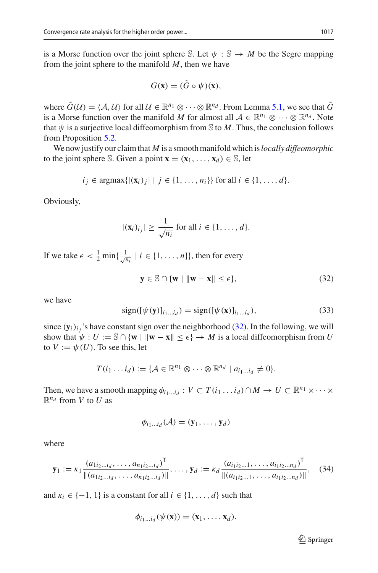is a Morse function over the joint sphere S. Let  $\psi : \mathbb{S} \to M$  be the Segre mapping from the joint sphere to the manifold *M*, then we have

$$
G(\mathbf{x}) = (\tilde{G} \circ \psi)(\mathbf{x}),
$$

where  $\tilde{G}(\mathcal{U}) = \langle \mathcal{A}, \mathcal{U} \rangle$  for all  $\mathcal{U} \in \mathbb{R}^{n_1} \otimes \cdots \otimes \mathbb{R}^{n_d}$ . From Lemma [5.1,](#page-20-1) we see that  $\tilde{G}$ is a Morse function over the manifold *M* for almost all  $A \in \mathbb{R}^{n_1} \otimes \cdots \otimes \mathbb{R}^{n_d}$ . Note that  $\psi$  is a surjective local diffeomorphism from S to M. Thus, the conclusion follows from Proposition [5.2.](#page-21-1)

We now justify our claim that *M* is a smooth manifold which is*locally diffeomorphic* to the joint sphere S. Given a point  $\mathbf{x} = (\mathbf{x}_1, \dots, \mathbf{x}_d) \in \mathbb{S}$ , let

$$
i_j \in \text{argmax}\{|(\mathbf{x}_i)_j| | j \in \{1, ..., n_i\}\}\text{ for all } i \in \{1, ..., d\}.
$$

Obviously,

$$
|(\mathbf{x}_i)_{i_j}| \geq \frac{1}{\sqrt{n_i}} \text{ for all } i \in \{1, \dots, d\}.
$$

If we take  $\epsilon < \frac{1}{2} \min\{\frac{1}{\sqrt{n_i}} \mid i \in \{1, \dots, n\}\}\)$ , then for every

<span id="page-24-0"></span>
$$
\mathbf{y} \in \mathbb{S} \cap \{\mathbf{w} \mid \|\mathbf{w} - \mathbf{x}\| \le \epsilon\},\tag{32}
$$

we have

<span id="page-24-1"></span>
$$
\text{sign}([\psi(\mathbf{y})]_{i_1\ldots i_d}) = \text{sign}([\psi(\mathbf{x})]_{i_1\ldots i_d}),\tag{33}
$$

since  $(y_i)_{i}$ , 's have constant sign over the neighborhood [\(32\)](#page-24-0). In the following, we will show that  $\psi : U := \mathbb{S} \cap {\bf \{w \mid ||w - x|| \le \epsilon\}} \rightarrow M$  is a local diffeomorphism from *U* to  $V := \psi(U)$ . To see this, let

$$
T(i_1 \ldots i_d) := \{ \mathcal{A} \in \mathbb{R}^{n_1} \otimes \cdots \otimes \mathbb{R}^{n_d} \mid a_{i_1 \ldots i_d} \neq 0 \}.
$$

Then, we have a smooth mapping  $\phi_{i_1...i_d} : V \subset T(i_1...i_d) \cap M \to U \subset \mathbb{R}^{n_1} \times \cdots \times$  $\mathbb{R}^{n_d}$  from *V* to *U* as

$$
\phi_{i_1...i_d}(\mathcal{A})=(\mathbf{y}_1,\ldots,\mathbf{y}_d)
$$

where

<span id="page-24-2"></span>
$$
\mathbf{y}_1 := \kappa_1 \frac{(a_{1i_2...i_d}, \dots, a_{n_1i_2...i_d})^{\mathsf{T}}}{\|(a_{1i_2...i_d}, \dots, a_{n_1i_2...i_d})\|}, \dots, \mathbf{y}_d := \kappa_d \frac{(a_{i_1i_2...1}, \dots, a_{i_1i_2...i_d})^{\mathsf{T}}}{\|(a_{i_1i_2...1}, \dots, a_{i_1i_2...i_d})\|}, \quad (34)
$$

and  $\kappa_i \in \{-1, 1\}$  is a constant for all  $i \in \{1, \ldots, d\}$  such that

$$
\phi_{i_1...i_d}(\psi(\mathbf{x}))=(\mathbf{x}_1,\ldots,\mathbf{x}_d).
$$

 $\mathcal{D}$  Springer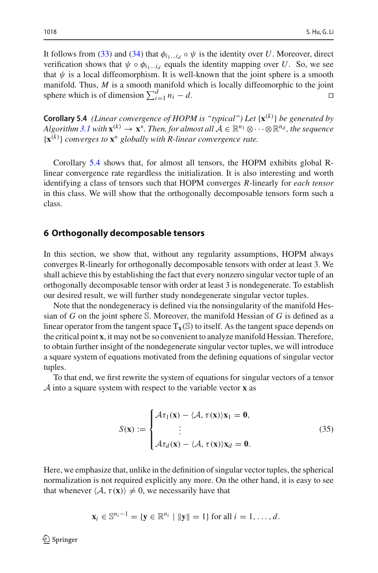It follows from [\(33\)](#page-24-1) and [\(34\)](#page-24-2) that  $\phi_{i_1...i_d} \circ \psi$  is the identity over *U*. Moreover, direct verification shows that  $\psi \circ \phi_{i_1...i_d}$  equals the identity mapping over *U*. So, we see that  $\psi$  is a local diffeomorphism. It is well-known that the joint sphere is a smooth manifold. Thus, *M* is a smooth manifold which is locally diffeomorphic to the joint sphere which is of dimension  $\sum_{i=1}^{d} n_i - d$ .

<span id="page-25-0"></span>**Corollary 5.4** *(Linear convergence of HOPM is "typical") Let* {**x**(*k*) } *be generated by Algorithm* [3.1](#page-8-2) *with*  $\mathbf{x}^{(k)} \to \mathbf{x}^*$ . Then, for almost all  $\mathcal{A} \in \mathbb{R}^{n_1} \otimes \cdots \otimes \mathbb{R}^{n_d}$ , the sequence {**x**(*k*) } *converges to* **x**<sup>∗</sup> *globally with R-linear convergence rate.*

Corollary [5.4](#page-25-0) shows that, for almost all tensors, the HOPM exhibits global Rlinear convergence rate regardless the initialization. It is also interesting and worth identifying a class of tensors such that HOPM converges *R*-linearly for *each tensor* in this class. We will show that the orthogonally decomposable tensors form such a class.

#### <span id="page-25-1"></span>**6 Orthogonally decomposable tensors**

In this section, we show that, without any regularity assumptions, HOPM always converges R-linearly for orthogonally decomposable tensors with order at least 3. We shall achieve this by establishing the fact that every nonzero singular vector tuple of an orthogonally decomposable tensor with order at least 3 is nondegenerate. To establish our desired result, we will further study nondegenerate singular vector tuples.

Note that the nondegeneracy is defined via the nonsingularity of the manifold Hessian of *G* on the joint sphere S. Moreover, the manifold Hessian of *G* is defined as a linear operator from the tangent space  $T_{\mathbf{x}}(\mathbb{S})$  to itself. As the tangent space depends on the critical point **x**, it may not be so convenient to analyze manifold Hessian. Therefore, to obtain further insight of the nondegenerate singular vector tuples, we will introduce a square system of equations motivated from the defining equations of singular vector tuples.

To that end, we first rewrite the system of equations for singular vectors of a tensor *A* into a square system with respect to the variable vector **x** as

<span id="page-25-2"></span>
$$
S(\mathbf{x}) := \begin{cases} \mathcal{A}\tau_1(\mathbf{x}) - \langle \mathcal{A}, \tau(\mathbf{x}) \rangle \mathbf{x}_1 = \mathbf{0}, \\ \vdots \\ \mathcal{A}\tau_d(\mathbf{x}) - \langle \mathcal{A}, \tau(\mathbf{x}) \rangle \mathbf{x}_d = \mathbf{0}. \end{cases}
$$
(35)

Here, we emphasize that, unlike in the definition of singular vector tuples, the spherical normalization is not required explicitly any more. On the other hand, it is easy to see that whenever  $\langle A, \tau(\mathbf{x}) \rangle \neq 0$ , we necessarily have that

$$
\mathbf{x}_i \in \mathbb{S}^{n_i-1} = \{ \mathbf{y} \in \mathbb{R}^{n_i} \mid \|\mathbf{y}\| = 1 \} \text{ for all } i = 1, \ldots, d.
$$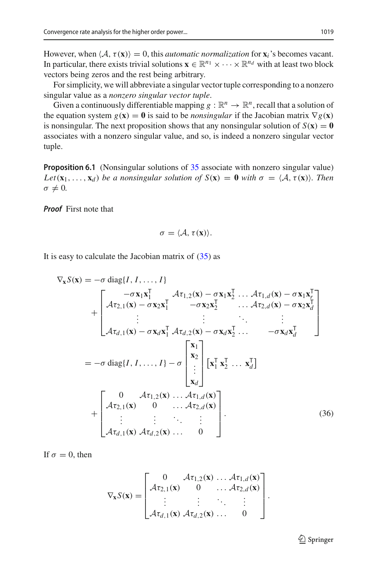However, when  $\langle A, \tau(\mathbf{x}) \rangle = 0$ , this *automatic normalization* for  $\mathbf{x}_i$ 's becomes vacant. In particular, there exists trivial solutions  $\mathbf{x} \in \mathbb{R}^{n_1} \times \cdots \times \mathbb{R}^{n_d}$  with at least two block vectors being zeros and the rest being arbitrary.

For simplicity, we will abbreviate a singular vector tuple corresponding to a nonzero singular value as a *nonzero singular vector tuple*.

Given a continuously differentiable mapping  $g : \mathbb{R}^n \to \mathbb{R}^n$ , recall that a solution of the equation system  $g(\mathbf{x}) = \mathbf{0}$  is said to be *nonsingular* if the Jacobian matrix  $\nabla g(\mathbf{x})$ is nonsingular. The next proposition shows that any nonsingular solution of  $S(\mathbf{x}) = \mathbf{0}$ associates with a nonzero singular value, and so, is indeed a nonzero singular vector tuple.

**Proposition 6.1** (Nonsingular solutions of [35](#page-25-2) associate with nonzero singular value) *Let*( $\mathbf{x}_1, \ldots, \mathbf{x}_d$ ) *be a nonsingular solution of*  $S(\mathbf{x}) = \mathbf{0}$  *with*  $\sigma = \langle A, \tau(\mathbf{x}) \rangle$ *. Then*  $\sigma \neq 0$ .

*Proof* First note that

$$
\sigma = \langle \mathcal{A}, \tau(\mathbf{x}) \rangle.
$$

It is easy to calculate the Jacobian matrix of  $(35)$  as

$$
\nabla_{\mathbf{x}} S(\mathbf{x}) = -\sigma \operatorname{diag}\{I, I, \dots, I\}
$$
\n
$$
+ \begin{bmatrix}\n-\sigma \mathbf{x}_1 \mathbf{x}_1^{\mathsf{T}} & \mathcal{A} \tau_{1,2}(\mathbf{x}) - \sigma \mathbf{x}_1 \mathbf{x}_2^{\mathsf{T}} & \dots & \mathcal{A} \tau_{1,d}(\mathbf{x}) - \sigma \mathbf{x}_1 \mathbf{x}_r^{\mathsf{T}} \\
\mathcal{A} \tau_{2,1}(\mathbf{x}) - \sigma \mathbf{x}_2 \mathbf{x}_1^{\mathsf{T}} & -\sigma \mathbf{x}_2 \mathbf{x}_2^{\mathsf{T}} & \dots & \mathcal{A} \tau_{2,d}(\mathbf{x}) - \sigma \mathbf{x}_2 \mathbf{x}_d^{\mathsf{T}} \\
\vdots & \vdots & \ddots & \vdots \\
\mathcal{A} \tau_{d,1}(\mathbf{x}) - \sigma \mathbf{x}_d \mathbf{x}_1^{\mathsf{T}} & \mathcal{A} \tau_{d,2}(\mathbf{x}) - \sigma \mathbf{x}_d \mathbf{x}_2^{\mathsf{T}} & \dots & -\sigma \mathbf{x}_d \mathbf{x}_d^{\mathsf{T}}\n\end{bmatrix}
$$
\n
$$
= -\sigma \operatorname{diag}\{I, I, \dots, I\} - \sigma \begin{bmatrix}\n\mathbf{x}_1 \\
\mathbf{x}_2 \\
\vdots \\
\mathbf{x}_d\n\end{bmatrix}\n[\mathbf{x}_1^{\mathsf{T}} \mathbf{x}_2^{\mathsf{T}} \dots \mathbf{x}_d^{\mathsf{T}}]
$$
\n
$$
+ \begin{bmatrix}\n0 & \mathcal{A} \tau_{1,2}(\mathbf{x}) \dots & \mathcal{A} \tau_{1,d}(\mathbf{x}) \\
\mathcal{A} \tau_{2,1}(\mathbf{x}) & 0 & \dots & \mathcal{A} \tau_{2,d}(\mathbf{x}) \\
\vdots & \vdots & \ddots & \vdots \\
\mathcal{A} \tau_{d,1}(\mathbf{x}) & \mathcal{A} \tau_{d,2}(\mathbf{x}) \dots & 0\n\end{bmatrix} .
$$
\n(36)

If  $\sigma = 0$ , then

$$
\nabla_{\mathbf{x}} S(\mathbf{x}) = \begin{bmatrix} 0 & \mathcal{A}\tau_{1,2}(\mathbf{x}) \dots \mathcal{A}\tau_{1,d}(\mathbf{x}) \\ \mathcal{A}\tau_{2,1}(\mathbf{x}) & 0 & \dots \mathcal{A}\tau_{2,d}(\mathbf{x}) \\ \vdots & \vdots & \ddots & \vdots \\ \mathcal{A}\tau_{d,1}(\mathbf{x}) & \mathcal{A}\tau_{d,2}(\mathbf{x}) \dots & 0 \end{bmatrix}.
$$

<span id="page-26-0"></span> $\mathcal{D}$  Springer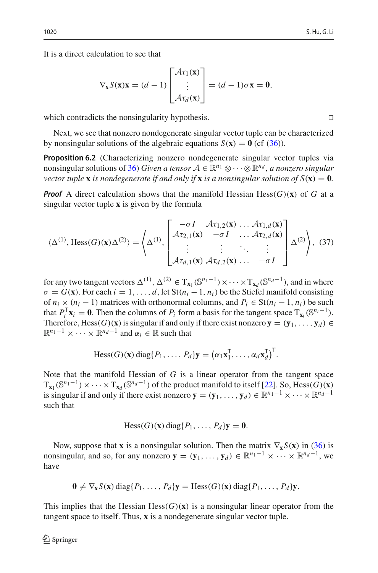It is a direct calculation to see that

$$
\nabla_{\mathbf{x}} S(\mathbf{x}) \mathbf{x} = (d-1) \begin{bmatrix} \mathcal{A} \tau_1(\mathbf{x}) \\ \vdots \\ \mathcal{A} \tau_d(\mathbf{x}) \end{bmatrix} = (d-1)\sigma \mathbf{x} = \mathbf{0},
$$

which contradicts the nonsingularity hypothesis.  $\Box$ 

Next, we see that nonzero nondegenerate singular vector tuple can be characterized by nonsingular solutions of the algebraic equations  $S(\mathbf{x}) = \mathbf{0}$  (cf [\(36\)](#page-26-0)).

**Proposition 6.2** (Characterizing nonzero nondegenerate singular vector tuples via nonsingular solutions of [36\)](#page-26-0) *Given a tensor*  $A \in \mathbb{R}^{n_1} \otimes \cdots \otimes \mathbb{R}^{n_d}$ , *a nonzero singular vector tuple* **x** *is nondegenerate if and only if* **x** *is a nonsingular solution of*  $S(\mathbf{x}) = \mathbf{0}$ *.* 

*Proof* A direct calculation shows that the manifold Hessian Hess $(G)(\mathbf{x})$  of G at a singular vector tuple **x** is given by the formula

<span id="page-27-0"></span>
$$
\langle \Delta^{(1)}, \text{Hess}(G)(\mathbf{x}) \Delta^{(2)} \rangle = \left\langle \Delta^{(1)}, \begin{bmatrix} -\sigma I & \mathcal{A}\tau_{1,2}(\mathbf{x}) & \dots & \mathcal{A}\tau_{1,d}(\mathbf{x}) \\ \mathcal{A}\tau_{2,1}(\mathbf{x}) & -\sigma I & \dots & \mathcal{A}\tau_{2,d}(\mathbf{x}) \\ \vdots & \vdots & \ddots & \vdots \\ \mathcal{A}\tau_{d,1}(\mathbf{x}) & \mathcal{A}\tau_{d,2}(\mathbf{x}) & \dots & -\sigma I \end{bmatrix} \Delta^{(2)} \right\rangle, (37)
$$

for any two tangent vectors  $\Delta^{(1)}$ ,  $\Delta^{(2)} \in T_{\mathbf{x}_1}(\mathbb{S}^{n_1-1}) \times \cdots \times T_{\mathbf{x}_d}(\mathbb{S}^{n_d-1})$ , and in where  $\sigma = G(\mathbf{x})$ . For each  $i = 1, \ldots, d$ , let St $(n_i - 1, n_i)$  be the Stiefel manifold consisting of  $n_i \times (n_i - 1)$  matrices with orthonormal columns, and  $P_i \in St(n_i - 1, n_i)$  be such that  $P_i^T \mathbf{x}_i = \mathbf{0}$ . Then the columns of  $P_i$  form a basis for the tangent space  $T_{\mathbf{x}_i}(\mathbb{S}^{n_i-1})$ . Therefore, Hess $(G)(\mathbf{x})$  is singular if and only if there exist nonzero  $\mathbf{y} = (\mathbf{y}_1, \dots, \mathbf{y}_d) \in$  $\mathbb{R}^{n_1-1} \times \cdots \times \mathbb{R}^{n_d-1}$  and  $\alpha_i \in \mathbb{R}$  such that

$$
\text{Hess}(G)(\mathbf{x})\,\text{diag}\{P_1,\ldots,P_d\}\mathbf{y} = \big(\alpha_1\mathbf{x}_1^{\mathsf{T}},\ldots,\alpha_d\mathbf{x}_d^{\mathsf{T}}\big)^{\mathsf{T}}.
$$

Note that the manifold Hessian of *G* is a linear operator from the tangent space  $T_{\mathbf{x}_1}(\mathbb{S}^{n_1-1}) \times \cdots \times T_{\mathbf{x}_d}(\mathbb{S}^{n_d-1})$  of the product manifold to itself [\[22\]](#page-37-25). So, Hess(*G*)(**x**) is singular if and only if there exist nonzero  $\mathbf{y} = (\mathbf{y}_1, \dots, \mathbf{y}_d) \in \mathbb{R}^{n_1 - 1} \times \dots \times \mathbb{R}^{n_d - 1}$ such that

$$
\text{Hess}(G)(\mathbf{x})\,\text{diag}\{P_1,\ldots,P_d\}\mathbf{y}=\mathbf{0}.
$$

Now, suppose that **x** is a nonsingular solution. Then the matrix  $\nabla_{\mathbf{x}} S(\mathbf{x})$  in [\(36\)](#page-26-0) is nonsingular, and so, for any nonzero  $\mathbf{y} = (\mathbf{y}_1, \dots, \mathbf{y}_d) \in \mathbb{R}^{n_1 - 1} \times \dots \times \mathbb{R}^{n_d - 1}$ , we have

$$
\mathbf{0} \neq \nabla_{\mathbf{x}} S(\mathbf{x}) \operatorname{diag} \{P_1, \ldots, P_d\} \mathbf{y} = \operatorname{Hess}(G)(\mathbf{x}) \operatorname{diag} \{P_1, \ldots, P_d\} \mathbf{y}.
$$

This implies that the Hessian Hess $(G)(\mathbf{x})$  is a nonsingular linear operator from the tangent space to itself. Thus, **x** is a nondegenerate singular vector tuple.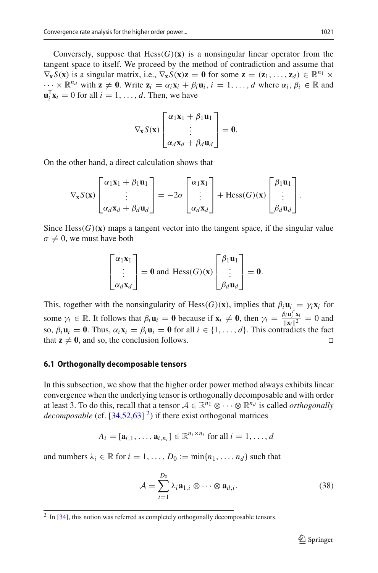Conversely, suppose that  $Hess(G)(x)$  is a nonsingular linear operator from the tangent space to itself. We proceed by the method of contradiction and assume that  $\nabla_{\mathbf{x}} S(\mathbf{x})$  is a singular matrix, i.e.,  $\nabla_{\mathbf{x}} S(\mathbf{x})\mathbf{z} = \mathbf{0}$  for some  $\mathbf{z} = (\mathbf{z}_1, \dots, \mathbf{z}_d) \in \mathbb{R}^{n_1} \times$  $\cdots \times \mathbb{R}^{n_d}$  with  $\mathbf{z} \neq \mathbf{0}$ . Write  $\mathbf{z}_i = \alpha_i \mathbf{x}_i + \beta_i \mathbf{u}_i$ ,  $i = 1, \ldots, d$  where  $\alpha_i, \beta_i \in \mathbb{R}$  and  $\mathbf{u}_i^{\mathsf{T}} \mathbf{x}_i = 0$  for all  $i = 1, \ldots, d$ . Then, we have

$$
\nabla_{\mathbf{x}} S(\mathbf{x}) \begin{bmatrix} \alpha_1 \mathbf{x}_1 + \beta_1 \mathbf{u}_1 \\ \vdots \\ \alpha_d \mathbf{x}_d + \beta_d \mathbf{u}_d \end{bmatrix} = \mathbf{0}.
$$

On the other hand, a direct calculation shows that

$$
\nabla_{\mathbf{x}} S(\mathbf{x}) \begin{bmatrix} \alpha_1 \mathbf{x}_1 + \beta_1 \mathbf{u}_1 \\ \vdots \\ \alpha_d \mathbf{x}_d + \beta_d \mathbf{u}_d \end{bmatrix} = -2\sigma \begin{bmatrix} \alpha_1 \mathbf{x}_1 \\ \vdots \\ \alpha_d \mathbf{x}_d \end{bmatrix} + \text{Hess}(G)(\mathbf{x}) \begin{bmatrix} \beta_1 \mathbf{u}_1 \\ \vdots \\ \beta_d \mathbf{u}_d \end{bmatrix}.
$$

Since  $Hess(G)(x)$  maps a tangent vector into the tangent space, if the singular value  $\sigma \neq 0$ , we must have both

$$
\begin{bmatrix} \alpha_1 \mathbf{x}_1 \\ \vdots \\ \alpha_d \mathbf{x}_d \end{bmatrix} = \mathbf{0} \text{ and } \text{Hess}(G)(\mathbf{x}) \begin{bmatrix} \beta_1 \mathbf{u}_1 \\ \vdots \\ \beta_d \mathbf{u}_d \end{bmatrix} = \mathbf{0}.
$$

This, together with the nonsingularity of Hess(*G*)(**x**), implies that  $\beta_i \mathbf{u}_i = \gamma_i \mathbf{x}_i$  for some  $\gamma_i \in \mathbb{R}$ . It follows that  $\beta_i \mathbf{u}_i = \mathbf{0}$  because if  $\mathbf{x}_i \neq \mathbf{0}$ , then  $\gamma_i = \frac{\beta_i \mathbf{u}_i^T \mathbf{x}_i}{\|\mathbf{x}_i\|^2}$ so,  $\beta_i \mathbf{u}_i = \mathbf{0}$ . Thus,  $\alpha_i \mathbf{x}_i = \beta_i \mathbf{u}_i = \mathbf{0}$  for all  $i \in \{1, ..., d\}$ . This contradicts the fact  $\frac{\mathbf{u}_i - \mathbf{x}_i}{\mathbf{x}_i \|^2} = 0$  and that  $z \neq 0$ , and so, the conclusion follows.

#### **6.1 Orthogonally decomposable tensors**

In this subsection, we show that the higher order power method always exhibits linear convergence when the underlying tensor is orthogonally decomposable and with order at least 3. To do this, recall that a tensor  $A \in \mathbb{R}^{n_1} \otimes \cdots \otimes \mathbb{R}^{n_d}$  is called *orthogonally decomposable* (cf.  $[34,52,63]$  $[34,52,63]$  $[34,52,63]$  $[34,52,63]$ <sup>2</sup>) if there exist orthogonal matrices

$$
A_i = [\mathbf{a}_{i,1}, \dots, \mathbf{a}_{i,n_i}] \in \mathbb{R}^{n_i \times n_i} \text{ for all } i = 1, \dots, d
$$

and numbers  $\lambda_i \in \mathbb{R}$  for  $i = 1, \ldots, D_0 := \min\{n_1, \ldots, n_d\}$  such that

$$
\mathcal{A} = \sum_{i=1}^{D_0} \lambda_i \mathbf{a}_{1,i} \otimes \cdots \otimes \mathbf{a}_{d,i}.
$$
 (38)

<span id="page-28-0"></span><sup>&</sup>lt;sup>2</sup> In [\[34\]](#page-37-18), this notion was referred as completely orthogonally decomposable tensors.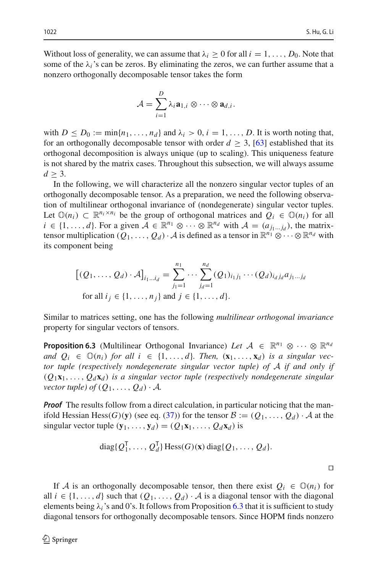Without loss of generality, we can assume that  $\lambda_i \geq 0$  for all  $i = 1, \ldots, D_0$ . Note that some of the  $\lambda_i$ 's can be zeros. By eliminating the zeros, we can further assume that a nonzero orthogonally decomposable tensor takes the form

$$
\mathcal{A} = \sum_{i=1}^D \lambda_i \mathbf{a}_{1,i} \otimes \cdots \otimes \mathbf{a}_{d,i}.
$$

with  $D \leq D_0 := \min\{n_1, \ldots, n_d\}$  and  $\lambda_i > 0$ ,  $i = 1, \ldots, D$ . It is worth noting that, for an orthogonally decomposable tensor with order  $d \geq 3$ , [\[63](#page-38-2)] established that its orthogonal decomposition is always unique (up to scaling). This uniqueness feature is not shared by the matrix cases. Throughout this subsection, we will always assume  $d > 3$ .

In the following, we will characterize all the nonzero singular vector tuples of an orthogonally decomposable tensor. As a preparation, we need the following observation of multilinear orthogonal invariance of (nondegenerate) singular vector tuples. Let  $\mathbb{O}(n_i) \subset \mathbb{R}^{n_i \times n_i}$  be the group of orthogonal matrices and  $Q_i \in \mathbb{O}(n_i)$  for all *i* ∈ {1, ..., *d*}. For a given  $A \in \mathbb{R}^{n_1} \otimes \cdots \otimes \mathbb{R}^{n_d}$  with  $A = (a_{j_1...j_d})$ , the matrixtensor multiplication  $(Q_1, \ldots, Q_d) \cdot A$  is defined as a tensor in  $\mathbb{R}^{n_1} \otimes \cdots \otimes \mathbb{R}^{n_d}$  with its component being

$$
[(Q_1, ..., Q_d) \cdot A]_{i_1...i_d} = \sum_{j_1=1}^{n_1} \cdots \sum_{j_d=1}^{n_d} (Q_1)_{i_1j_1} \cdots (Q_d)_{i_dj_d} a_{j_1...j_d}
$$
  
for all  $i_j \in \{1, ..., n_j\}$  and  $j \in \{1, ..., d\}.$ 

<span id="page-29-0"></span>Similar to matrices setting, one has the following *multilinear orthogonal invariance* property for singular vectors of tensors.

**Proposition 6.3** (Multilinear Orthogonal Invariance) Let  $A \in \mathbb{R}^{n_1} \otimes \cdots \otimes \mathbb{R}^{n_d}$ *and*  $Q_i \in \mathbb{O}(n_i)$  *for all*  $i \in \{1, ..., d\}$ *. Then,*  $(\mathbf{x}_1, ..., \mathbf{x}_d)$  *is a singular vector tuple (respectively nondegenerate singular vector tuple) of A if and only if*  $(Q_1\mathbf{x}_1,\ldots,Q_d\mathbf{x}_d)$  *is a singular vector tuple (respectively nondegenerate singular vector tuple) of*  $(Q_1, \ldots, Q_d) \cdot A$ .

*Proof* The results follow from a direct calculation, in particular noticing that the manifold Hessian Hess $(G)(\mathbf{y})$  (see eq. [\(37\)](#page-27-0)) for the tensor  $\mathcal{B} := (Q_1, \ldots, Q_d) \cdot \mathcal{A}$  at the singular vector tuple  $(\mathbf{y}_1, \ldots, \mathbf{y}_d) = (Q_1 \mathbf{x}_1, \ldots, Q_d \mathbf{x}_d)$  is

diag{
$$
Q_1^{\mathsf{T}}
$$
,...,  $Q_d^{\mathsf{T}}$ } Hess( $G$ )(**x**) diag{ $Q_1$ ,...,  $Q_d$ }.

If *A* is an orthogonally decomposable tensor, then there exist  $Q_i \in \mathbb{O}(n_i)$  for all  $i \in \{1, ..., d\}$  such that  $(Q_1, ..., Q_d) \cdot A$  is a diagonal tensor with the diagonal elements being  $\lambda_i$ 's and 0's. It follows from Proposition [6.3](#page-29-0) that it is sufficient to study diagonal tensors for orthogonally decomposable tensors. Since HOPM finds nonzero

 $\Box$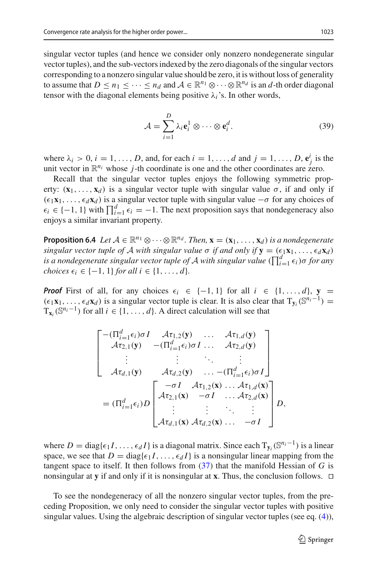singular vector tuples (and hence we consider only nonzero nondegenerate singular vector tuples), and the sub-vectors indexed by the zero diagonals of the singular vectors corresponding to a nonzero singular value should be zero, it is without loss of generality to assume that  $D \le n_1 \le \cdots \le n_d$  and  $\mathcal{A} \in \mathbb{R}^{n_1} \otimes \cdots \otimes \mathbb{R}^{n_d}$  is an *d*-th order diagonal tensor with the diagonal elements being positive  $\lambda_i$ 's. In other words,

<span id="page-30-0"></span>
$$
\mathcal{A} = \sum_{i=1}^{D} \lambda_i \mathbf{e}_i^1 \otimes \cdots \otimes \mathbf{e}_i^d.
$$
 (39)

where  $\lambda_i > 0$ ,  $i = 1, \ldots, D$ , and, for each  $i = 1, \ldots, d$  and  $j = 1, \ldots, D$ ,  $\mathbf{e}_j^i$  is the unit vector in  $\mathbb{R}^{n_i}$  whose *j*-th coordinate is one and the other coordinates are zero.

Recall that the singular vector tuples enjoys the following symmetric property:  $(\mathbf{x}_1,\ldots,\mathbf{x}_d)$  is a singular vector tuple with singular value  $\sigma$ , if and only if  $(\epsilon_1 \mathbf{x}_1, \ldots, \epsilon_d \mathbf{x}_d)$  is a singular vector tuple with singular value  $-\sigma$  for any choices of  $\epsilon_i \in \{-1, 1\}$  with  $\prod_{i=1}^d \epsilon_i = -1$ . The next proposition says that nondegeneracy also enjoys a similar invariant property.

**Proposition 6.4** *Let*  $A \in \mathbb{R}^{n_1} \otimes \cdots \otimes \mathbb{R}^{n_d}$ . *Then,*  $\mathbf{x} = (\mathbf{x}_1, \ldots, \mathbf{x}_d)$  *is a nondegenerate singular vector tuple of A with singular value*  $\sigma$  *if and only if*  $\mathbf{y} = (\epsilon_1 \mathbf{x}_1, \ldots, \epsilon_d \mathbf{x}_d)$ *is a nondegenerate singular vector tuple of A with singular value*  $(\prod_{i=1}^{d} \epsilon_i) \sigma$  *for any choices*  $\epsilon_i \in \{-1, 1\}$  *for all i*  $\in \{1, ..., d\}$ *.* 

*Proof* First of all, for any choices  $\epsilon_i \in \{-1, 1\}$  for all  $i \in \{1, ..., d\}$ ,  $y =$  $(\epsilon_1 \mathbf{x}_1,\ldots,\epsilon_d \mathbf{x}_d)$  is a singular vector tuple is clear. It is also clear that  $T_{\mathbf{v}_i}(\mathbb{S}^{n_i-1})$  =  $T_{\mathbf{x}_i}(\mathbb{S}^{n_i-1})$  for all  $i \in \{1, ..., d\}$ . A direct calculation will see that

$$
\begin{bmatrix}\n-(\Pi_{i=1}^d \epsilon_i) \sigma I & \mathcal{A} \tau_{1,2}(\mathbf{y}) & \dots & \mathcal{A} \tau_{1,d}(\mathbf{y}) \\
\mathcal{A} \tau_{2,1}(\mathbf{y}) & -(\Pi_{i=1}^d \epsilon_i) \sigma I & \dots & \mathcal{A} \tau_{2,d}(\mathbf{y}) \\
\vdots & \vdots & \ddots & \vdots \\
\mathcal{A} \tau_{d,1}(\mathbf{y}) & \mathcal{A} \tau_{d,2}(\mathbf{y}) & \dots & -(\Pi_{i=1}^d \epsilon_i) \sigma I\n\end{bmatrix}
$$
\n
$$
= (\Pi_{i=1}^d \epsilon_i) D \begin{bmatrix}\n-\sigma I & \mathcal{A} \tau_{1,2}(\mathbf{x}) & \dots & \mathcal{A} \tau_{1,d}(\mathbf{x}) \\
\mathcal{A} \tau_{2,1}(\mathbf{x}) & -\sigma I & \dots & \mathcal{A} \tau_{2,d}(\mathbf{x}) \\
\vdots & \vdots & \ddots & \vdots \\
\mathcal{A} \tau_{d,1}(\mathbf{x}) & \mathcal{A} \tau_{d,2}(\mathbf{x}) & \dots & -\sigma I\n\end{bmatrix} D,
$$

where  $D = \text{diag}\{\epsilon_1 I, \ldots, \epsilon_d I\}$  is a diagonal matrix. Since each  $T_{\mathbf{v}_i}(\mathbb{S}^{n_i-1})$  is a linear space, we see that  $D = \text{diag}\{\epsilon_1 I, \ldots, \epsilon_d I\}$  is a nonsingular linear mapping from the tangent space to itself. It then follows from [\(37\)](#page-27-0) that the manifold Hessian of *G* is nonsingular at **y** if and only if it is nonsingular at **x**. Thus, the conclusion follows.  $\Box$ 

To see the nondegeneracy of all the nonzero singular vector tuples, from the preceding Proposition, we only need to consider the singular vector tuples with positive singular values. Using the algebraic description of singular vector tuples (see eq. [\(4\)](#page-6-2)),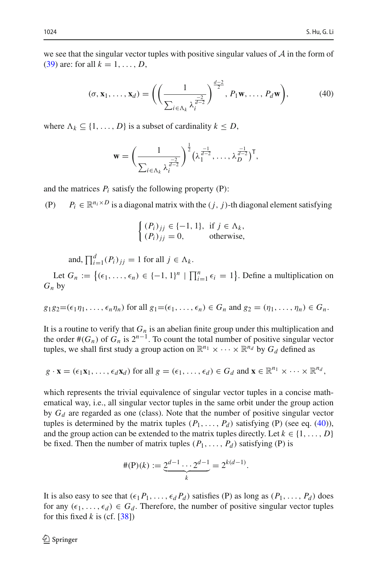we see that the singular vector tuples with positive singular values of *A* in the form of [\(39\)](#page-30-0) are: for all  $k = 1, ..., D$ ,

<span id="page-31-0"></span>
$$
(\sigma, \mathbf{x}_1, \dots, \mathbf{x}_d) = \left( \left( \frac{1}{\sum_{i \in \Lambda_k} \lambda_i^{\frac{-2}{d-2}}} \right)^{\frac{d-2}{2}}, P_1 \mathbf{w}, \dots, P_d \mathbf{w} \right), \tag{40}
$$

where  $\Lambda_k \subseteq \{1, \ldots, D\}$  is a subset of cardinality  $k \leq D$ ,

$$
\mathbf{w} = \left(\frac{1}{\sum_{i \in \Lambda_k} \lambda_i^{\frac{-2}{d-2}}}\right)^{\frac{1}{2}} \left(\lambda_1^{\frac{-1}{d-2}}, \dots, \lambda_D^{\frac{-1}{d-2}}\right)^{\mathsf{T}},
$$

and the matrices  $P_i$  satisfy the following property  $(P)$ :

(P)  $P_i \in \mathbb{R}^{n_i \times D}$  is a diagonal matrix with the  $(j, j)$ -th diagonal element satisfying

$$
\begin{cases} (P_i)_{jj} \in \{-1, 1\}, & \text{if } j \in \Lambda_k, \\ (P_i)_{jj} = 0, & \text{otherwise,} \end{cases}
$$

and,  $\prod_{i=1}^{d} (P_i)_{jj} = 1$  for all  $j \in \Lambda_k$ .

Let  $G_n := \{ (\epsilon_1, \ldots, \epsilon_n) \in \{-1, 1\}^n \mid \prod_{i=1}^n \epsilon_i = 1 \}.$  Define a multiplication on *Gn* by

$$
g_1g_2=(\epsilon_1\eta_1,\ldots,\epsilon_n\eta_n)
$$
 for all  $g_1=(\epsilon_1,\ldots,\epsilon_n)\in G_n$  and  $g_2=(\eta_1,\ldots,\eta_n)\in G_n$ .

It is a routine to verify that  $G_n$  is an abelian finite group under this multiplication and the order  $\#(G_n)$  of  $G_n$  is  $2^{n-1}$ . To count the total number of positive singular vector tuples, we shall first study a group action on  $\mathbb{R}^{n_1} \times \cdots \times \mathbb{R}^{n_d}$  by  $G_d$  defined as

$$
g \cdot \mathbf{x} = (\epsilon_1 \mathbf{x}_1, \dots, \epsilon_d \mathbf{x}_d)
$$
 for all  $g = (\epsilon_1, \dots, \epsilon_d) \in G_d$  and  $\mathbf{x} \in \mathbb{R}^{n_1} \times \dots \times \mathbb{R}^{n_d}$ ,

which represents the trivial equivalence of singular vector tuples in a concise mathematical way, i.e., all singular vector tuples in the same orbit under the group action by *Gd* are regarded as one (class). Note that the number of positive singular vector tuples is determined by the matrix tuples  $(P_1, \ldots, P_d)$  satisfying (P) (see eq. [\(40\)](#page-31-0)), and the group action can be extended to the matrix tuples directly. Let  $k \in \{1, \ldots, D\}$ be fixed. Then the number of matrix tuples  $(P_1, \ldots, P_d)$  satisfying (P) is

$$
\#(\mathbf{P})(k) := \underbrace{2^{d-1} \cdots 2^{d-1}}_k = 2^{k(d-1)}.
$$

It is also easy to see that  $(\epsilon_1 P_1, \ldots, \epsilon_d P_d)$  satisfies (P) as long as  $(P_1, \ldots, P_d)$  does for any  $(\epsilon_1,\ldots,\epsilon_d) \in G_d$ . Therefore, the number of positive singular vector tuples for this fixed  $k$  is (cf.  $[38]$ )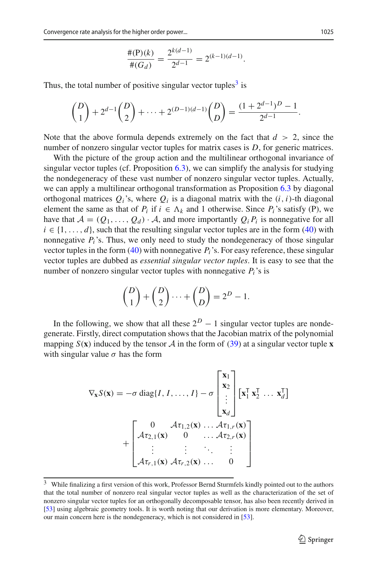$$
\frac{\#(\mathbf{P})(k)}{\#(G_d)} = \frac{2^{k(d-1)}}{2^{d-1}} = 2^{(k-1)(d-1)}.
$$

Thus, the total number of positive singular vector tuples<sup>[3](#page-32-0)</sup> is

$$
\binom{D}{1} + 2^{d-1} \binom{D}{2} + \dots + 2^{(D-1)(d-1)} \binom{D}{D} = \frac{(1+2^{d-1})^D - 1}{2^{d-1}}.
$$

Note that the above formula depends extremely on the fact that  $d > 2$ , since the number of nonzero singular vector tuples for matrix cases is *D*, for generic matrices.

With the picture of the group action and the multilinear orthogonal invariance of singular vector tuples (cf. Proposition [6.3\)](#page-29-0), we can simplify the analysis for studying the nondegeneracy of these vast number of nonzero singular vector tuples. Actually, we can apply a multilinear orthogonal transformation as Proposition [6.3](#page-29-0) by diagonal orthogonal matrices  $Q_i$ 's, where  $Q_i$  is a diagonal matrix with the  $(i, i)$ -th diagonal element the same as that of  $P_i$  if  $i \in \Lambda_k$  and 1 otherwise. Since  $P_i$ 's satisfy (P), we have that  $A = (Q_1, \ldots, Q_d) \cdot A$ , and more importantly  $Q_i P_i$  is nonnegative for all  $i \in \{1, \ldots, d\}$ , such that the resulting singular vector tuples are in the form [\(40\)](#page-31-0) with nonnegative  $P_i$ 's. Thus, we only need to study the nondegeneracy of those singular vector tuples in the form [\(40\)](#page-31-0) with nonnegative *Pi*'s. For easy reference, these singular vector tuples are dubbed as *essential singular vector tuples*. It is easy to see that the number of nonzero singular vector tuples with nonnegative  $P_i$ 's is

$$
\binom{D}{1} + \binom{D}{2} \cdots + \binom{D}{D} = 2^D - 1.
$$

In the following, we show that all these  $2^D - 1$  singular vector tuples are nondegenerate. Firstly, direct computation shows that the Jacobian matrix of the polynomial mapping  $S(\mathbf{x})$  induced by the tensor  $\mathcal A$  in the form of [\(39\)](#page-30-0) at a singular vector tuple **x** with singular value  $\sigma$  has the form

$$
\nabla_{\mathbf{x}} S(\mathbf{x}) = -\sigma \operatorname{diag}\{I, I, \dots, I\} - \sigma \begin{bmatrix} \mathbf{x}_1 \\ \mathbf{x}_2 \\ \vdots \\ \mathbf{x}_d \end{bmatrix} [\mathbf{x}_1^{\mathsf{T}} \mathbf{x}_2^{\mathsf{T}} \dots \mathbf{x}_d^{\mathsf{T}}] + \begin{bmatrix} 0 & \mathcal{A} \tau_{1,2}(\mathbf{x}) \dots \mathcal{A} \tau_{1,r}(\mathbf{x}) \\ \mathcal{A} \tau_{2,1}(\mathbf{x}) & 0 & \dots \mathcal{A} \tau_{2,r}(\mathbf{x}) \\ \vdots & \vdots & \ddots & \vdots \\ \mathcal{A} \tau_{r,1}(\mathbf{x}) & \mathcal{A} \tau_{r,2}(\mathbf{x}) \dots & 0 \end{bmatrix}
$$

<span id="page-32-0"></span><sup>&</sup>lt;sup>3</sup> While finalizing a first version of this work, Professor Bernd Sturmfels kindly pointed out to the authors that the total number of nonzero real singular vector tuples as well as the characterization of the set of nonzero singular vector tuples for an orthogonally decomposable tensor, has also been recently derived in [\[53](#page-38-18)] using algebraic geometry tools. It is worth noting that our derivation is more elementary. Moreover, our main concern here is the nondegeneracy, which is not considered in [\[53](#page-38-18)].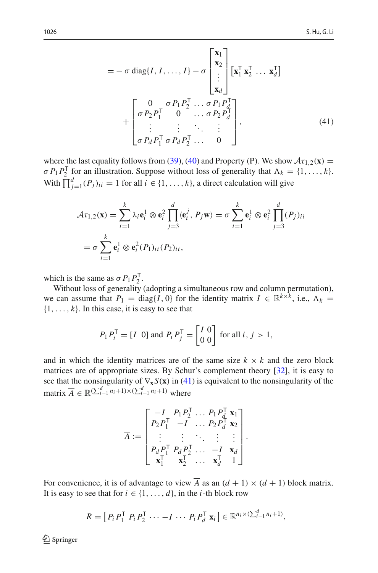<span id="page-33-0"></span>
$$
= -\sigma \operatorname{diag}\{I, I, \dots, I\} - \sigma \begin{bmatrix} \mathbf{x}_1 \\ \mathbf{x}_2 \\ \vdots \\ \mathbf{x}_d \end{bmatrix} \begin{bmatrix} \mathbf{x}_1^{\mathsf{T}} \mathbf{x}_2^{\mathsf{T}} \dots \mathbf{x}_d^{\mathsf{T}} \end{bmatrix}
$$

$$
+ \begin{bmatrix} 0 & \sigma P_1 P_2^{\mathsf{T}} \dots \sigma P_1 P_d^{\mathsf{T}} \\ \sigma P_2 P_1^{\mathsf{T}} & 0 & \dots \sigma P_2 P_d^{\mathsf{T}} \\ \vdots & \vdots & \ddots & \vdots \\ \sigma P_d P_1^{\mathsf{T}} \sigma P_d P_2^{\mathsf{T}} \dots & 0 \end{bmatrix}, \tag{41}
$$

where the last equality follows from [\(39\)](#page-30-0), [\(40\)](#page-31-0) and Property (P). We show  $A\tau_{1,2}(\mathbf{x}) =$  $\sigma P_1 P_2^{\mathsf{T}}$  for an illustration. Suppose without loss of generality that  $\Lambda_k = \{1, \ldots, k\}.$ With  $\prod_{j=1}^{d} (P_j)_{ii} = 1$  for all  $i \in \{1, ..., k\}$ , a direct calculation will give

$$
\mathcal{A}\tau_{1,2}(\mathbf{x}) = \sum_{i=1}^{k} \lambda_i \mathbf{e}_i^1 \otimes \mathbf{e}_i^2 \prod_{j=3}^d \langle \mathbf{e}_i^j, P_j \mathbf{w} \rangle = \sigma \sum_{i=1}^k \mathbf{e}_i^1 \otimes \mathbf{e}_i^2 \prod_{j=3}^d (P_j)_{ii}
$$

$$
= \sigma \sum_{i=1}^k \mathbf{e}_i^1 \otimes \mathbf{e}_i^2 (P_1)_{ii} (P_2)_{ii},
$$

which is the same as  $\sigma P_1 P_2^T$ .

Without loss of generality (adopting a simultaneous row and column permutation), we can assume that  $P_1 = \text{diag}\{I, 0\}$  for the identity matrix  $I \in \mathbb{R}^{k \times k}$ , i.e.,  $\Lambda_k =$  $\{1, \ldots, k\}$ . In this case, it is easy to see that

$$
P_1 P_i^{\mathsf{T}} = [I \ 0] \text{ and } P_i P_j^{\mathsf{T}} = \begin{bmatrix} I & 0 \\ 0 & 0 \end{bmatrix} \text{ for all } i, j > 1,
$$

and in which the identity matrices are of the same size  $k \times k$  and the zero block matrices are of appropriate sizes. By Schur's complement theory [\[32](#page-37-27)], it is easy to see that the nonsingularity of  $\nabla_{\mathbf{x}} S(\mathbf{x})$  in [\(41\)](#page-33-0) is equivalent to the nonsingularity of the matrix  $\overline{A} \in \mathbb{R}^{(\sum_{i=1}^{d} n_i + 1) \times (\sum_{i=1}^{d} n_i + 1)}$  where

$$
\overline{A} := \begin{bmatrix}\n-I & P_1 P_2^\mathsf{T} & \dots & P_1 P_d^\mathsf{T} & \mathbf{x}_1 \\
P_2 P_1^\mathsf{T} & -I & \dots & P_2 P_d^\mathsf{T} & \mathbf{x}_2 \\
\vdots & \vdots & \ddots & \vdots & \vdots \\
P_d P_1^\mathsf{T} & P_d P_2^\mathsf{T} & \dots & -I & \mathbf{x}_d \\
\mathbf{x}_1^\mathsf{T} & \mathbf{x}_2^\mathsf{T} & \dots & \mathbf{x}_d^\mathsf{T} & 1\n\end{bmatrix}.
$$

For convenience, it is of advantage to view  $\overline{A}$  as an  $(d + 1) \times (d + 1)$  block matrix. It is easy to see that for  $i \in \{1, \ldots, d\}$ , in the *i*-th block row

$$
R = [P_i P_1^{\mathsf{T}} P_i P_2^{\mathsf{T}} \cdots -I \cdots P_i P_d^{\mathsf{T}} \mathbf{x}_i] \in \mathbb{R}^{n_i \times (\sum_{i=1}^d n_i + 1)},
$$

 $\textcircled{2}$  Springer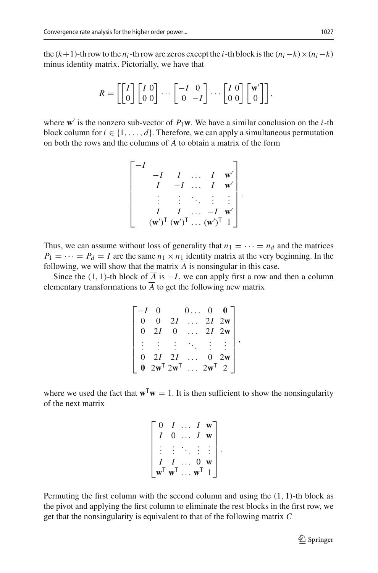the  $(k+1)$ -th row to the  $n_i$ -th row are zeros except the *i*-th block is the  $(n_i - k) \times (n_i - k)$ minus identity matrix. Pictorially, we have that

$$
R = \left[\begin{bmatrix} I \\ 0 \end{bmatrix} \begin{bmatrix} I & 0 \\ 0 & 0 \end{bmatrix} \cdots \begin{bmatrix} -I & 0 \\ 0 & -I \end{bmatrix} \cdots \begin{bmatrix} I & 0 \\ 0 & 0 \end{bmatrix} \begin{bmatrix} \mathbf{w}' \\ 0 \end{bmatrix} \right],
$$

where **w** is the nonzero sub-vector of  $P_1$ **w**. We have a similar conclusion on the *i*-th block column for  $i \in \{1, \ldots, d\}$ . Therefore, we can apply a simultaneous permutation on both the rows and the columns of  $\overline{A}$  to obtain a matrix of the form

$$
\begin{bmatrix}\n-I & I & \dots & I & \mathbf{w}' \\
I & -I & \dots & I & \mathbf{w}' \\
\vdots & \vdots & \ddots & \vdots & \vdots \\
I & I & \dots & -I & \mathbf{w}' \\
(\mathbf{w}')^{\mathsf{T}} & (\mathbf{w}')^{\mathsf{T}} & \dots & (\mathbf{w}')^{\mathsf{T}} & 1\n\end{bmatrix}.
$$

Thus, we can assume without loss of generality that  $n_1 = \cdots = n_d$  and the matrices  $P_1 = \cdots = P_d = I$  are the same  $n_1 \times n_1$  identity matrix at the very beginning. In the following, we will show that the matrix  $\overline{A}$  is nonsingular in this case.

Since the (1, 1)-th block of  $\overline{A}$  is  $-I$ , we can apply first a row and then a column elementary transformations to  $\overline{A}$  to get the following new matrix

|          |                                 |    |                | $\overline{0}$ |    |  |
|----------|---------------------------------|----|----------------|----------------|----|--|
| 0        |                                 | 2I | $\mathbb{R}^2$ | $2I$ 2w        |    |  |
| 0        | 2I                              | 0  |                | $2I$ 2w        |    |  |
|          |                                 |    |                |                |    |  |
| $\Omega$ | 2I                              | 2I |                | $\Omega$       | 2w |  |
|          | $2\mathbf{w}^T$ $2\mathbf{w}^T$ |    |                |                |    |  |

where we used the fact that  $\mathbf{w}^T\mathbf{w} = 1$ . It is then sufficient to show the nonsingularity of the next matrix

|    |                             | t.       | W |  |
|----|-----------------------------|----------|---|--|
|    | 0                           |          |   |  |
|    |                             |          |   |  |
|    |                             | $\theta$ |   |  |
| w' | $\mathbf{w}^{\mathsf{T}}$ . |          |   |  |

Permuting the first column with the second column and using the (1, 1)-th block as the pivot and applying the first column to eliminate the rest blocks in the first row, we get that the nonsingularity is equivalent to that of the following matrix *C*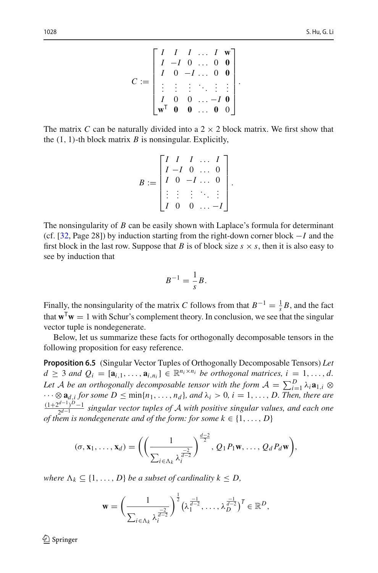$$
C := \begin{bmatrix} I & I & I & \dots & I & \mathbf{w} \\ I & -I & 0 & \dots & 0 & \mathbf{0} \\ I & 0 & -I & \dots & 0 & \mathbf{0} \\ \vdots & \vdots & \vdots & \ddots & \vdots & \vdots \\ I & 0 & 0 & \dots & -I & \mathbf{0} \\ \mathbf{w}^T & \mathbf{0} & \mathbf{0} & \dots & \mathbf{0} & 0 \end{bmatrix}.
$$

The matrix *C* can be naturally divided into a  $2 \times 2$  block matrix. We first show that the  $(1, 1)$ -th block matrix *B* is nonsingular. Explicitly,

$$
B := \begin{bmatrix} I & I & I & \dots & I \\ I & -I & 0 & \dots & 0 \\ I & 0 & -I & \dots & 0 \\ \vdots & \vdots & \vdots & \ddots & \vdots \\ I & 0 & 0 & \dots & -I \end{bmatrix}.
$$

The nonsingularity of *B* can be easily shown with Laplace's formula for determinant (cf. [\[32,](#page-37-27) Page 28]) by induction starting from the right-down corner block −*I* and the first block in the last row. Suppose that *B* is of block size  $s \times s$ , then it is also easy to see by induction that

$$
B^{-1} = \frac{1}{s}B.
$$

Finally, the nonsingularity of the matrix *C* follows from that  $B^{-1} = \frac{1}{s}B$ , and the fact that  $\mathbf{w}^T \mathbf{w} = 1$  with Schur's complement theory. In conclusion, we see that the singular vector tuple is nondegenerate.

<span id="page-35-0"></span>Below, let us summarize these facts for orthogonally decomposable tensors in the following proposition for easy reference.

**Proposition 6.5** (Singular Vector Tuples of Orthogonally Decomposable Tensors) *Let*  $d \geq 3$  *and*  $Q_i = [\mathbf{a}_{i,1}, \ldots, \mathbf{a}_{i,n_i}] \in \mathbb{R}^{n_i \times n_i}$  *be orthogonal matrices, i* = 1, ..., *d*. Let *A* be an orthogonally decomposable tensor with the form  $A = \sum_{i=1}^{D} \lambda_i \mathbf{a}_{1,i} \otimes$ ···⊗ **a***d*,*<sup>i</sup> for some D* ≤ min{*n*1,..., *nd* }*, and* λ*<sup>i</sup>* > 0*, i* = 1,..., *D. Then, there are* (1+2*d*−1)*D*−<sup>1</sup> <sup>2</sup>*d*−<sup>1</sup> *singular vector tuples of A with positive singular values, and each one of them is nondegenerate and of the form: for some k*  $\in$  {1, ..., *D*}

$$
(\sigma, \mathbf{x}_1, \ldots, \mathbf{x}_d) = \left( \left( \frac{1}{\sum_{i \in \Lambda_k} \lambda_i^{\frac{-2}{d-2}}} \right)^{\frac{d-2}{2}}, Q_1 P_1 \mathbf{w}, \ldots, Q_d P_d \mathbf{w} \right),
$$

*where*  $\Lambda_k \subseteq \{1, \ldots, D\}$  *be a subset of cardinality*  $k \leq D$ *,* 

$$
\mathbf{w} = \left(\frac{1}{\sum_{i \in \Lambda_k} \lambda_i^{\frac{-2}{d-2}}}\right)^{\frac{1}{2}} \left(\lambda_1^{\frac{-1}{d-2}}, \dots, \lambda_D^{\frac{-1}{d-2}}\right)^T \in \mathbb{R}^D,
$$

 $\textcircled{2}$  Springer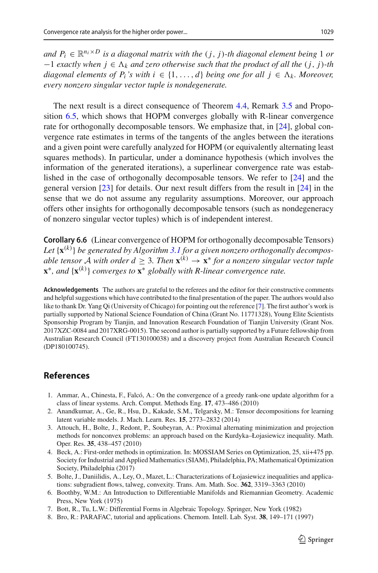*and*  $P_i \in \mathbb{R}^{n_i \times D}$  *is a diagonal matrix with the*  $(j, j)$ -*th diagonal element being* 1 *or* −1 *exactly when j* ∈ *<sup>k</sup> and zero otherwise such that the product of all the* (*j*, *j*)*-th diagonal elements of P<sub>i</sub>'s with*  $i \in \{1, ..., d\}$  *being one for all*  $j \in \Lambda_k$ *. Moreover, every nonzero singular vector tuple is nondegenerate.*

The next result is a direct consequence of Theorem [4.4,](#page-18-0) Remark [3.5](#page-16-1) and Proposition [6.5,](#page-35-0) which shows that HOPM converges globally with R-linear convergence rate for orthogonally decomposable tensors. We emphasize that, in [\[24](#page-37-19)], global convergence rate estimates in terms of the tangents of the angles between the iterations and a given point were carefully analyzed for HOPM (or equivalently alternating least squares methods). In particular, under a dominance hypothesis (which involves the information of the generated iterations), a superlinear convergence rate was established in the case of orthogonally decomposable tensors. We refer to [\[24\]](#page-37-19) and the general version [\[23](#page-37-20)] for details. Our next result differs from the result in [\[24\]](#page-37-19) in the sense that we do not assume any regularity assumptions. Moreover, our approach offers other insights for orthogonally decomposable tensors (such as nondegeneracy of nonzero singular vector tuples) which is of independent interest.

<span id="page-36-5"></span>**Corollary 6.6** (Linear convergence of HOPM for orthogonally decomposable Tensors) *Let* {**x**(*k*) } *be generated by Algorithm [3.1](#page-8-2) for a given nonzero orthogonally decomposable tensor A with order d* > 3*. Then*  $\mathbf{x}^{(k)} \rightarrow \mathbf{x}^*$  *for a nonzero singular vector tuple* **<sup>x</sup>**∗*, and* {**x**(*k*) } *converges to* **x**<sup>∗</sup> *globally with R-linear convergence rate.*

**Acknowledgements** The authors are grateful to the referees and the editor for their constructive comments and helpful suggestions which have contributed to the final presentation of the paper. The authors would also like to thank Dr. Yang Qi (University of Chicago) for pointing out the reference [\[7](#page-36-7)]. The first author's work is partially supported by National Science Foundation of China (Grant No. 11771328), Young Elite Scientists Sponsorship Program by Tianjin, and Innovation Research Foundation of Tianjin University (Grant Nos. 2017XZC-0084 and 2017XRG-0015). The second author is partially supported by a Future fellowship from Australian Research Council (FT130100038) and a discovery project from Australian Research Council (DP180100745).

## **References**

- <span id="page-36-2"></span>1. Ammar, A., Chinesta, F., Falcó, A.: On the convergence of a greedy rank-one update algorithm for a class of linear systems. Arch. Comput. Methods Eng. **17**, 473–486 (2010)
- <span id="page-36-1"></span>2. Anandkumar, A., Ge, R., Hsu, D., Kakade, S.M., Telgarsky, M.: Tensor decompositions for learning latent variable models. J. Mach. Learn. Res. **15**, 2773–2832 (2014)
- <span id="page-36-3"></span>3. Attouch, H., Bolte, J., Redont, P., Soubeyran, A.: Proximal alternating minimization and projection methods for nonconvex problems: an approach based on the Kurdyka–Łojasiewicz inequality. Math. Oper. Res. **35**, 438–457 (2010)
- <span id="page-36-6"></span>4. Beck, A.: First-order methods in optimization. In: MOSSIAM Series on Optimization, 25, xii+475 pp. Society for Industrial and Applied Mathematics (SIAM), Philadelphia, PA; Mathematical Optimization Society, Philadelphia (2017)
- <span id="page-36-4"></span>5. Bolte, J., Daniilidis, A., Ley, O., Mazet, L.: Characterizations of Łojasiewicz inequalities and applications: subgradient flows, talweg, convexity. Trans. Am. Math. Soc. **362**, 3319–3363 (2010)
- <span id="page-36-8"></span>6. Boothby, W.M.: An Introduction to Differentiable Manifolds and Riemannian Geometry. Academic Press, New York (1975)
- <span id="page-36-7"></span>7. Bott, R., Tu, L.W.: Differential Forms in Algebraic Topology. Springer, New York (1982)
- <span id="page-36-0"></span>8. Bro, R.: PARAFAC, tutorial and applications. Chemom. Intell. Lab. Syst. **38**, 149–171 (1997)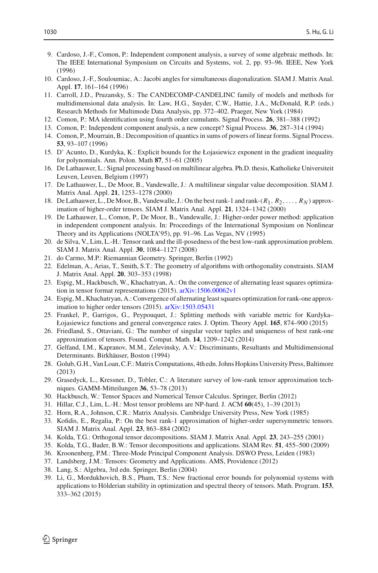- <span id="page-37-7"></span>9. Cardoso, J.-F., Comon, P.: Independent component analysis, a survey of some algebraic methods. In: The IEEE International Symposium on Circuits and Systems, vol. 2, pp. 93–96. IEEE, New York (1996)
- <span id="page-37-10"></span>10. Cardoso, J.-F., Souloumiac, A.: Jacobi angles for simultaneous diagonalization. SIAM J. Matrix Anal. Appl. **17**, 161–164 (1996)
- <span id="page-37-6"></span>11. Carroll, J.D., Pruzansky, S.: The CANDECOMP-CANDELINC family of models and methods for multidimensional data analysis. In: Law, H.G., Snyder, C.W., Hattie, J.A., McDonald, R.P. (eds.) Research Methods for Multimode Data Analysis, pp. 372–402. Praeger, New York (1984)
- <span id="page-37-8"></span>12. Comon, P.: MA identification using fourth order cumulants. Signal Process. **26**, 381–388 (1992)
- <span id="page-37-9"></span>13. Comon, P.: Independent component analysis, a new concept? Signal Process. **36**, 287–314 (1994)
- <span id="page-37-4"></span>14. Comon, P., Mourrain, B.: Decomposition of quantics in sums of powers of linear forms. Signal Process. **53**, 93–107 (1996)
- <span id="page-37-21"></span>15. D' Acunto, D., Kurdyka, K.: Explicit bounds for the Łojasiewicz exponent in the gradient inequality for polynomials. Ann. Polon. Math **87**, 51–61 (2005)
- <span id="page-37-11"></span>16. De Lathauwer, L.: Signal processing based on multilinear algebra. Ph.D. thesis, Katholieke Universiteit Leuven, Leuven, Belgium (1997)
- <span id="page-37-23"></span>17. De Lathauwer, L., De Moor, B., Vandewalle, J.: A multilinear singular value decomposition. SIAM J. Matrix Anal. Appl. **21**, 1253–1278 (2000)
- <span id="page-37-14"></span>18. De Lathauwer, L., De Moor, B., Vandewalle, J.: On the best rank-1 and rank-(*R*1, *R*2,..., *RN* ) approximation of higher-order tensors. SIAM J. Matrix Anal. Appl. **21**, 1324–1342 (2000)
- <span id="page-37-13"></span>19. De Lathauwer, L., Comon, P., De Moor, B., Vandewalle, J.: Higher-order power method: application in independent component analysis. In: Proceedings of the International Symposium on Nonlinear Theory and its Applications (NOLTA'95), pp. 91–96. Las Vegas, NV (1995)
- <span id="page-37-15"></span>20. de Silva, V., Lim, L.-H.: Tensor rank and the ill-posedness of the best low-rank approximation problem. SIAM J. Matrix Anal. Appl. **30**, 1084–1127 (2008)
- <span id="page-37-24"></span>21. do Carmo, M.P.: Riemannian Geometry. Springer, Berlin (1992)
- <span id="page-37-25"></span>22. Edelman, A., Arias, T., Smith, S.T.: The geometry of algorithms with orthogonality constraints. SIAM J. Matrix Anal. Appl. **20**, 303–353 (1998)
- <span id="page-37-20"></span>23. Espig, M., Hackbusch, W., Khachatryan, A.: On the convergence of alternating least squares optimization in tensor format representations (2015). [arXiv:1506.00062v1](http://arxiv.org/abs/1506.00062v1)
- <span id="page-37-19"></span>24. Espig, M., Khachatryan, A.: Convergence of alternating least squares optimization for rank-one approximation to higher order tensors (2015). [arXiv:1503.05431](http://arxiv.org/abs/1503.05431)
- 25. Frankel, P., Garrigos, G., Peypouquet, J.: Splitting methods with variable metric for Kurdyka– Łojasiewicz functions and general convergence rates. J. Optim. Theory Appl. **165**, 874–900 (2015)
- 26. Friedland, S., Ottaviani, G.: The number of singular vector tuples and uniqueness of best rank-one approximation of tensors. Found. Comput. Math. **14**, 1209–1242 (2014)
- 27. Gelfand, I.M., Kapranov, M.M., Zelevinsky, A.V.: Discriminants, Resultants and Multidimensional Determinants. Birkhäuser, Boston (1994)
- <span id="page-37-0"></span>28. Golub, G.H., Van Loan, C.F.: Matrix Computations, 4th edn. Johns Hopkins University Press, Baltimore (2013)
- <span id="page-37-12"></span>29. Grasedyck, L., Kressner, D., Tobler, C.: A literature survey of low-rank tensor approximation techniques. GAMM-Mitteilungen **36**, 53–78 (2013)
- <span id="page-37-1"></span>30. Hackbusch, W.: Tensor Spaces and Numerical Tensor Calculus. Springer, Berlin (2012)
- <span id="page-37-16"></span>31. Hillar, C.J., Lim, L.-H.: Most tensor problems are NP-hard. J. ACM **60**(45), 1–39 (2013)
- <span id="page-37-27"></span>32. Horn, R.A., Johnson, C.R.: Matrix Analysis. Cambridge University Press, New York (1985)
- <span id="page-37-17"></span>33. Kofidis, E., Regalia, P.: On the best rank-1 approximation of higher-order supersymmetric tensors. SIAM J. Matrix Anal. Appl. **23**, 863–884 (2002)
- <span id="page-37-18"></span>34. Kolda, T.G.: Orthogonal tensor decompositions. SIAM J. Matrix Anal. Appl. **23**, 243–255 (2001)
- <span id="page-37-5"></span>35. Kolda, T.G., Bader, B.W.: Tensor decompositions and applications. SIAM Rev. **51**, 455–500 (2009)
- <span id="page-37-2"></span>36. Kroonenberg, P.M.: Three-Mode Principal Component Analysis. DSWO Press, Leiden (1983)
- <span id="page-37-3"></span>37. Landsberg, J.M.: Tensors: Geometry and Applications. AMS, Providence (2012)
- <span id="page-37-26"></span>38. Lang, S.: Algebra, 3rd edn. Springer, Berlin (2004)
- <span id="page-37-22"></span>39. Li, G., Mordukhovich, B.S., Pham, T.S.: New fractional error bounds for polynomial systems with applications to Hölderian stability in optimization and spectral theory of tensors. Math. Program. **153**, 333–362 (2015)